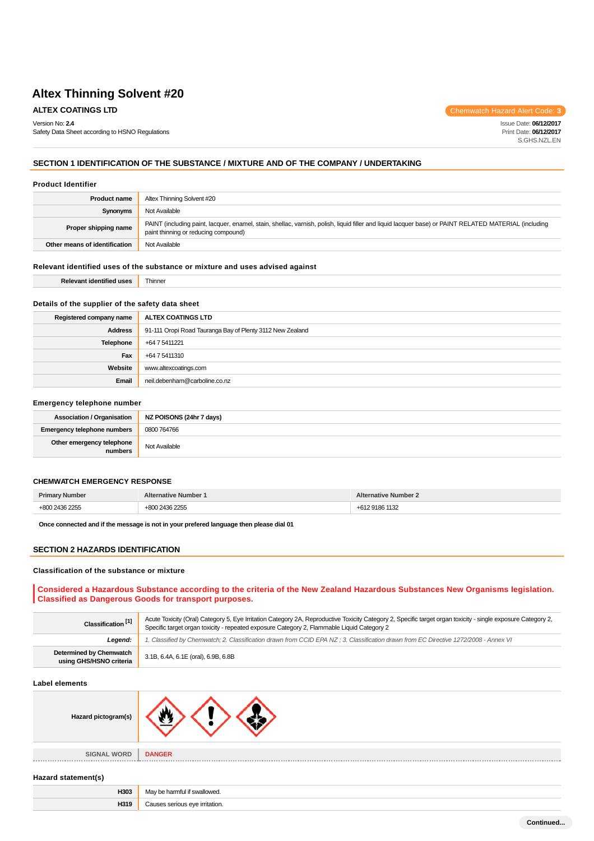Safety Data Sheet according to HSNO Regulations

**ALTEX COATINGS LTD COLLEGE CODE: 3** 

Issue Date: **06/12/2017** Print Date: **06/12/2017** S.GHS.NZL.EN

### **SECTION 1 IDENTIFICATION OF THE SUBSTANCE / MIXTURE AND OF THE COMPANY / UNDERTAKING**

#### **Product Identifier**

Version No: **2.4**

| <b>Product name</b>           | Altex Thinning Solvent #20                                                                                                                                                                    |  |
|-------------------------------|-----------------------------------------------------------------------------------------------------------------------------------------------------------------------------------------------|--|
| Synonyms                      | Not Available                                                                                                                                                                                 |  |
| Proper shipping name          | PAINT (including paint, lacquer, enamel, stain, shellac, varnish, polish, liquid filler and liquid lacquer base) or PAINT RELATED MATERIAL (including<br>paint thinning or reducing compound) |  |
| Other means of identification | Not Available                                                                                                                                                                                 |  |

### **Relevant identified uses of the substance or mixture and uses advised against**

### **Details of the supplier of the safety data sheet**

| Registered company name | ALTEX COATINGS LTD                                        |  |  |
|-------------------------|-----------------------------------------------------------|--|--|
| <b>Address</b>          | 91-111 Oropi Road Tauranga Bay of Plenty 3112 New Zealand |  |  |
| <b>Telephone</b>        | +64 7 5411221                                             |  |  |
| Fax                     | +64 7 5411310                                             |  |  |
| Website                 | www.altexcoatings.com                                     |  |  |
| Email                   | neil.debenham@carboline.co.nz                             |  |  |

#### **Emergency telephone number**

| <b>Association / Organisation</b>    | NZ POISONS (24hr 7 days) |  |  |
|--------------------------------------|--------------------------|--|--|
| <b>Emergency telephone numbers</b>   | 0800 764766              |  |  |
| Other emergency telephone<br>numbers | Not Available            |  |  |

#### **CHEMWATCH EMERGENCY RESPONSE**

|  | . |
|--|---|

**Once connected and if the message is not in your prefered language then please dial 01**

**H319** Causes serious eye irritation.

#### **SECTION 2 HAZARDS IDENTIFICATION**

#### **Classification of the substance or mixture**

### **Considered a Hazardous Substance according to the criteria of the New Zealand Hazardous Substances New Organisms legislation. Classified as Dangerous Goods for transport purposes.**

| Classification <sup>[1]</sup>                      | Acute Toxicity (Oral) Category 5, Eye Irritation Category 2A, Reproductive Toxicity Category 2, Specific target organ toxicity - single exposure Category 2,<br>Specific target organ toxicity - repeated exposure Category 2, Flammable Liquid Category 2 |  |
|----------------------------------------------------|------------------------------------------------------------------------------------------------------------------------------------------------------------------------------------------------------------------------------------------------------------|--|
| Legend:                                            | 1. Classified by Chemwatch; 2. Classification drawn from CCID EPA NZ; 3. Classification drawn from EC Directive 1272/2008 - Annex VI                                                                                                                       |  |
| Determined by Chemwatch<br>using GHS/HSNO criteria | 3.1B, 6.4A, 6.1E (oral), 6.9B, 6.8B                                                                                                                                                                                                                        |  |

#### **Label elements**

| Hazard pictogram(s) |                              |
|---------------------|------------------------------|
| <b>SIGNAL WORD</b>  | <b>DANGER</b>                |
| Hazard statement(s) |                              |
| H303                | May be harmful if swallowed. |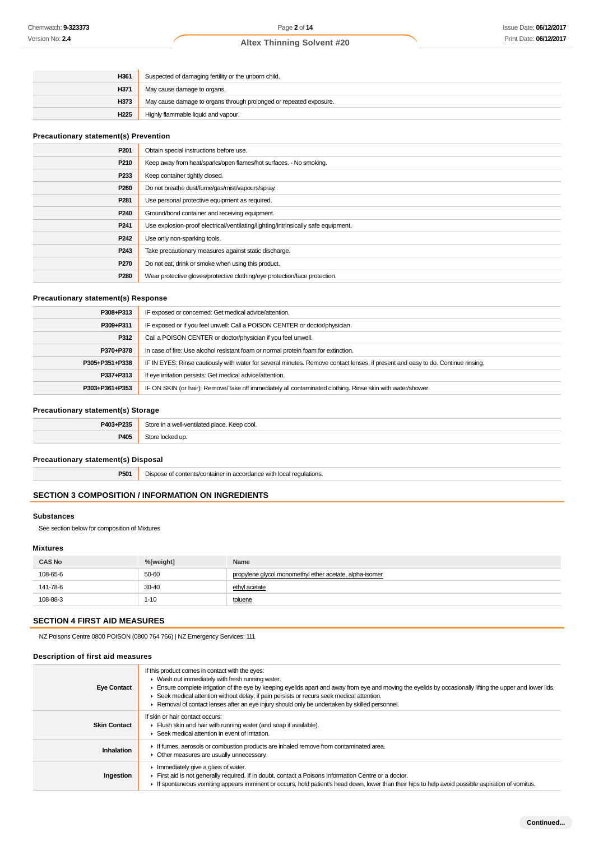| H361             | Suspected of damaging fertility or the unborn child.               |  |
|------------------|--------------------------------------------------------------------|--|
| H371             | May cause damage to organs.                                        |  |
| H373             | May cause damage to organs through prolonged or repeated exposure. |  |
| H <sub>225</sub> | Highly flammable liquid and vapour.                                |  |

### **Precautionary statement(s) Prevention**

| P <sub>201</sub> | Obtain special instructions before use.                                           |  |
|------------------|-----------------------------------------------------------------------------------|--|
| P210             | Keep away from heat/sparks/open flames/hot surfaces. - No smoking.                |  |
| P <sub>233</sub> | Keep container tightly closed.                                                    |  |
| P <sub>260</sub> | Do not breathe dust/fume/gas/mist/vapours/spray.                                  |  |
| P <sub>281</sub> | Use personal protective equipment as required.                                    |  |
| P <sub>240</sub> | Ground/bond container and receiving equipment.                                    |  |
| P <sub>241</sub> | Use explosion-proof electrical/ventilating/lighting/intrinsically safe equipment. |  |
| P <sub>242</sub> | Use only non-sparking tools.                                                      |  |
| P <sub>243</sub> | Take precautionary measures against static discharge.                             |  |
| P <sub>270</sub> | Do not eat, drink or smoke when using this product.                               |  |
| P <sub>280</sub> | Wear protective gloves/protective clothing/eye protection/face protection.        |  |

### **Precautionary statement(s) Response**

| P308+P313      | IF exposed or concerned: Get medical advice/attention.                                                                           |  |  |
|----------------|----------------------------------------------------------------------------------------------------------------------------------|--|--|
| P309+P311      | IF exposed or if you feel unwell: Call a POISON CENTER or doctor/physician.                                                      |  |  |
| P312           | Call a POISON CENTER or doctor/physician if you feel unwell.                                                                     |  |  |
| P370+P378      | In case of fire: Use alcohol resistant foam or normal protein foam for extinction.                                               |  |  |
| P305+P351+P338 | IF IN EYES: Rinse cautiously with water for several minutes. Remove contact lenses, if present and easy to do. Continue rinsing. |  |  |
| P337+P313      | If eye irritation persists: Get medical advice/attention.                                                                        |  |  |
| P303+P361+P353 | IF ON SKIN (or hair): Remove/Take off immediately all contaminated clothing. Rinse skin with water/shower.                       |  |  |

## **Precautionary statement(s) Storage**

| P403+P235   | St∩r<br>a well-ventilated place. Keep cool. |  |
|-------------|---------------------------------------------|--|
| <b>P405</b> | эскеа ир                                    |  |

#### **Precautionary statement(s) Disposal**

**P501** Dispose of contents/container in accordance with local regulations.

## **SECTION 3 COMPOSITION / INFORMATION ON INGREDIENTS**

### **Substances**

See section below for composition of Mixtures

### **Mixtures**

| <b>CAS No</b> | %[weight] | Name                                                    |
|---------------|-----------|---------------------------------------------------------|
| 108-65-6      | 50-60     | propylene glycol monomethyl ether acetate, alpha-isomer |
| 141-78-6      | 30-40     | ethyl acetate                                           |
| 108-88-3      | $1 - 10$  | toluene                                                 |

## **SECTION 4 FIRST AID MEASURES**

NZ Poisons Centre 0800 POISON (0800 764 766) | NZ Emergency Services: 111

### **Description of first aid measures**

| <b>Eye Contact</b>  | If this product comes in contact with the eyes:<br>$\blacktriangleright$ Wash out immediately with fresh running water.<br>Ensure complete irrigation of the eye by keeping eyelids apart and away from eye and moving the eyelids by occasionally lifting the upper and lower lids.<br>► Seek medical attention without delay; if pain persists or recurs seek medical attention.<br>▶ Removal of contact lenses after an eye injury should only be undertaken by skilled personnel. |
|---------------------|---------------------------------------------------------------------------------------------------------------------------------------------------------------------------------------------------------------------------------------------------------------------------------------------------------------------------------------------------------------------------------------------------------------------------------------------------------------------------------------|
| <b>Skin Contact</b> | If skin or hair contact occurs:<br>Flush skin and hair with running water (and soap if available).<br>▶ Seek medical attention in event of irritation.                                                                                                                                                                                                                                                                                                                                |
| Inhalation          | If fumes, aerosols or combustion products are inhaled remove from contaminated area.<br>• Other measures are usually unnecessary.                                                                                                                                                                                                                                                                                                                                                     |
| Ingestion           | Immediately give a glass of water.<br>First aid is not generally required. If in doubt, contact a Poisons Information Centre or a doctor.<br>If spontaneous vomiting appears imminent or occurs, hold patient's head down, lower than their hips to help avoid possible aspiration of vomitus.                                                                                                                                                                                        |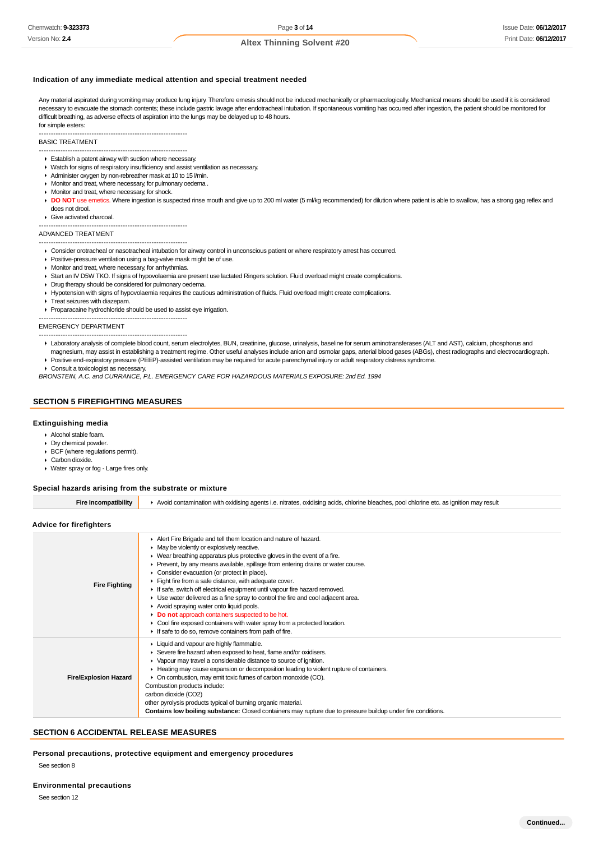#### **Indication of any immediate medical attention and special treatment needed**

Any material aspirated during vomiting may produce lung injury. Therefore emesis should not be induced mechanically or pharmacologically. Mechanical means should be used if it is considered necessary to evacuate the stomach contents; these include gastric lavage after endotracheal intubation. If spontaneous vomiting has occurred after ingestion, the patient should be monitored for difficult breathing, as adverse effects of aspiration into the lungs may be delayed up to 48 hours. for simple esters:

--------------------------------------------------------------

#### BASIC TREATMENT

- --------------------------------------------------------------
- Establish a patent airway with suction where necessary.
- Watch for signs of respiratory insufficiency and assist ventilation as necessary.
- Administer oxygen by non-rebreather mask at 10 to 15 l/min.
- $\blacktriangleright$  Monitor and treat, where necessary, for pulmonary oedema
- **Monitor and treat, where necessary, for shock.**
- DO NOT use emetics. Where ingestion is suspected rinse mouth and give up to 200 ml water (5 ml/kg recommended) for dilution where patient is able to swallow, has a strong gag reflex and does not drool.
- Give activated charcoal.
- --------------------------------------------------------------

### ADVANCED TREATMENT

- -------------------------------------------------------------- Consider orotracheal or nasotracheal intubation for airway control in unconscious patient or where respiratory arrest has occurred.
- **Positive-pressure ventilation using a bag-valve mask might be of use.**
- **Monitor and treat, where necessary, for arrhythmias.**
- Start an IV D5W TKO. If signs of hypovolaemia are present use lactated Ringers solution. Fluid overload might create complications.
- **P** Drug therapy should be considered for pulmonary oedema.
- Hypotension with signs of hypovolaemia requires the cautious administration of fluids. Fluid overload might create complications.
- **F** Treat seizures with diazepam.
- Proparacaine hydrochloride should be used to assist eye irrigation.
- -------------------------------------------------------------- EMERGENCY DEPARTMENT

#### --------------------------------------------------------------

- ▶ Laboratory analysis of complete blood count, serum electrolytes, BUN, creatinine, glucose, urinalysis, baseline for serum aminotransferases (ALT and AST), calcium, phosphorus and magnesium, may assist in establishing a treatment regime. Other useful analyses include anion and osmolar gaps, arterial blood gases (ABGs), chest radiographs and electrocardiograph.
- Positive end-expiratory pressure (PEEP)-assisted ventilation may be required for acute parenchymal injury or adult respiratory distress syndrome.

▶ Consult a toxicologist as necessary.

BRONSTEIN, A.C. and CURRANCE, P.L. EMERGENCY CARE FOR HAZARDOUS MATERIALS EXPOSURE: 2nd Ed. 1994

#### **SECTION 5 FIREFIGHTING MEASURES**

#### **Extinguishing media**

- Alcohol stable foam.
- Dry chemical powder.
- BCF (where regulations permit).
- Carbon dioxide.
- Water spray or fog Large fires only.

#### **Special hazards arising from the substrate or mixture**

**Fire Incompatibility Avoid contamination with oxidising agents i.e. nitrates, oxidising acids, chlorine bleaches, pool chlorine etc. as ignition may result** 

#### **Advice for firefighters**

| <b>Fire Fighting</b>         | Alert Fire Brigade and tell them location and nature of hazard.<br>• May be violently or explosively reactive.<br>• Wear breathing apparatus plus protective gloves in the event of a fire.<br>► Prevent, by any means available, spillage from entering drains or water course.<br>• Consider evacuation (or protect in place).<br>$\blacktriangleright$ Fight fire from a safe distance, with adequate cover.<br>If safe, switch off electrical equipment until vapour fire hazard removed.<br>• Use water delivered as a fine spray to control the fire and cool adjacent area.<br>Avoid spraying water onto liquid pools.<br>Do not approach containers suspected to be hot.<br>• Cool fire exposed containers with water spray from a protected location.<br>If safe to do so, remove containers from path of fire. |
|------------------------------|--------------------------------------------------------------------------------------------------------------------------------------------------------------------------------------------------------------------------------------------------------------------------------------------------------------------------------------------------------------------------------------------------------------------------------------------------------------------------------------------------------------------------------------------------------------------------------------------------------------------------------------------------------------------------------------------------------------------------------------------------------------------------------------------------------------------------|
| <b>Fire/Explosion Hazard</b> | ▶ Liquid and vapour are highly flammable.<br>Severe fire hazard when exposed to heat, flame and/or oxidisers.<br>• Vapour may travel a considerable distance to source of ignition.<br>► Heating may cause expansion or decomposition leading to violent rupture of containers.<br>• On combustion, may emit toxic fumes of carbon monoxide (CO).<br>Combustion products include:<br>carbon dioxide (CO2)<br>other pyrolysis products typical of burning organic material.<br>Contains low boiling substance: Closed containers may rupture due to pressure buildup under fire conditions.                                                                                                                                                                                                                               |

#### **SECTION 6 ACCIDENTAL RELEASE MEASURES**

**Personal precautions, protective equipment and emergency procedures** See section 8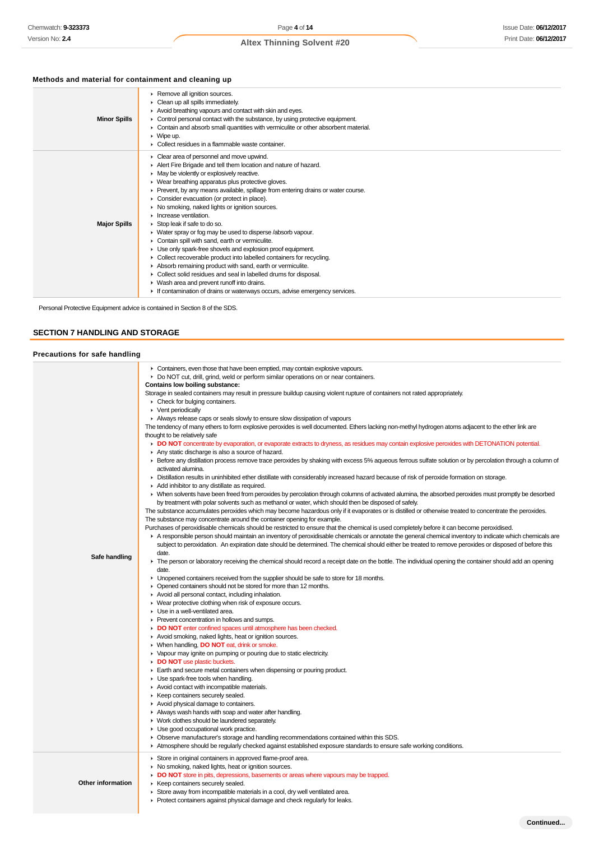## **Methods and material for containment and cleaning up**

| <b>Minor Spills</b> | Remove all ignition sources.<br>Clean up all spills immediately.<br>Avoid breathing vapours and contact with skin and eyes.<br>• Control personal contact with the substance, by using protective equipment.<br>• Contain and absorb small quantities with vermiculite or other absorbent material.<br>$\triangleright$ Wipe up.<br>$\blacktriangleright$ Collect residues in a flammable waste container.                                                                                                                                                                                                                                                                                                                                                                                                                                                                                                                                                                                                       |
|---------------------|------------------------------------------------------------------------------------------------------------------------------------------------------------------------------------------------------------------------------------------------------------------------------------------------------------------------------------------------------------------------------------------------------------------------------------------------------------------------------------------------------------------------------------------------------------------------------------------------------------------------------------------------------------------------------------------------------------------------------------------------------------------------------------------------------------------------------------------------------------------------------------------------------------------------------------------------------------------------------------------------------------------|
| <b>Major Spills</b> | • Clear area of personnel and move upwind.<br>Alert Fire Brigade and tell them location and nature of hazard.<br>• May be violently or explosively reactive.<br>▶ Wear breathing apparatus plus protective gloves.<br>Prevent, by any means available, spillage from entering drains or water course.<br>• Consider evacuation (or protect in place).<br>• No smoking, naked lights or ignition sources.<br>$\blacktriangleright$ Increase ventilation.<br>Stop leak if safe to do so.<br>• Water spray or fog may be used to disperse /absorb vapour.<br>Contain spill with sand, earth or vermiculite.<br>• Use only spark-free shovels and explosion proof equipment.<br>• Collect recoverable product into labelled containers for recycling.<br>Absorb remaining product with sand, earth or vermiculite.<br>• Collect solid residues and seal in labelled drums for disposal.<br>▶ Wash area and prevent runoff into drains.<br>If contamination of drains or waterways occurs, advise emergency services. |

Personal Protective Equipment advice is contained in Section 8 of the SDS.

## **SECTION 7 HANDLING AND STORAGE**

## **Precautions for safe handling**

|                   | • Containers, even those that have been emptied, may contain explosive vapours.                                                                                                                                                    |
|-------------------|------------------------------------------------------------------------------------------------------------------------------------------------------------------------------------------------------------------------------------|
|                   | ► Do NOT cut, drill, grind, weld or perform similar operations on or near containers.                                                                                                                                              |
|                   | Contains low boiling substance:                                                                                                                                                                                                    |
|                   | Storage in sealed containers may result in pressure buildup causing violent rupture of containers not rated appropriately.                                                                                                         |
|                   | • Check for bulging containers.                                                                                                                                                                                                    |
|                   | $\triangleright$ Vent periodically                                                                                                                                                                                                 |
|                   | Always release caps or seals slowly to ensure slow dissipation of vapours                                                                                                                                                          |
|                   | The tendency of many ethers to form explosive peroxides is well documented. Ethers lacking non-methyl hydrogen atoms adjacent to the ether link are                                                                                |
|                   | thought to be relatively safe                                                                                                                                                                                                      |
|                   | DO NOT concentrate by evaporation, or evaporate extracts to dryness, as residues may contain explosive peroxides with DETONATION potential.                                                                                        |
|                   | Any static discharge is also a source of hazard.                                                                                                                                                                                   |
|                   | Exercise any distillation process remove trace peroxides by shaking with excess 5% aqueous ferrous sulfate solution or by percolation through a column of                                                                          |
|                   | activated alumina.                                                                                                                                                                                                                 |
|                   | ► Distillation results in uninhibited ether distillate with considerably increased hazard because of risk of peroxide formation on storage.                                                                                        |
|                   | Add inhibitor to any distillate as required.                                                                                                                                                                                       |
|                   | • When solvents have been freed from peroxides by percolation through columns of activated alumina, the absorbed peroxides must promptly be desorbed                                                                               |
|                   | by treatment with polar solvents such as methanol or water, which should then be disposed of safely.                                                                                                                               |
|                   | The substance accumulates peroxides which may become hazardous only if it evaporates or is distilled or otherwise treated to concentrate the peroxides.<br>The substance may concentrate around the container opening for example. |
|                   | Purchases of peroxidisable chemicals should be restricted to ensure that the chemical is used completely before it can become peroxidised.                                                                                         |
|                   | A responsible person should maintain an inventory of peroxidisable chemicals or annotate the general chemical inventory to indicate which chemicals are                                                                            |
|                   | subject to peroxidation. An expiration date should be determined. The chemical should either be treated to remove peroxides or disposed of before this                                                                             |
|                   | date.                                                                                                                                                                                                                              |
| Safe handling     | ► The person or laboratory receiving the chemical should record a receipt date on the bottle. The individual opening the container should add an opening                                                                           |
|                   | date.                                                                                                                                                                                                                              |
|                   | • Unopened containers received from the supplier should be safe to store for 18 months.                                                                                                                                            |
|                   | • Opened containers should not be stored for more than 12 months.                                                                                                                                                                  |
|                   | Avoid all personal contact, including inhalation.                                                                                                                                                                                  |
|                   | • Wear protective clothing when risk of exposure occurs.                                                                                                                                                                           |
|                   | • Use in a well-ventilated area.                                                                                                                                                                                                   |
|                   | ▶ Prevent concentration in hollows and sumps.                                                                                                                                                                                      |
|                   | DO NOT enter confined spaces until atmosphere has been checked.                                                                                                                                                                    |
|                   | Avoid smoking, naked lights, heat or ignition sources.                                                                                                                                                                             |
|                   | ▶ When handling, <b>DO NOT</b> eat, drink or smoke.                                                                                                                                                                                |
|                   | • Vapour may ignite on pumping or pouring due to static electricity.                                                                                                                                                               |
|                   | DO NOT use plastic buckets.                                                                                                                                                                                                        |
|                   | Earth and secure metal containers when dispensing or pouring product.                                                                                                                                                              |
|                   | Use spark-free tools when handling.                                                                                                                                                                                                |
|                   | Avoid contact with incompatible materials.                                                                                                                                                                                         |
|                   | ▶ Keep containers securely sealed.                                                                                                                                                                                                 |
|                   | Avoid physical damage to containers.                                                                                                                                                                                               |
|                   | Always wash hands with soap and water after handling.                                                                                                                                                                              |
|                   | ▶ Work clothes should be laundered separately.                                                                                                                                                                                     |
|                   | Use good occupational work practice.                                                                                                                                                                                               |
|                   | ▶ Observe manufacturer's storage and handling recommendations contained within this SDS.                                                                                                                                           |
|                   | Atmosphere should be regularly checked against established exposure standards to ensure safe working conditions.                                                                                                                   |
|                   | Store in original containers in approved flame-proof area.                                                                                                                                                                         |
|                   | • No smoking, naked lights, heat or ignition sources.                                                                                                                                                                              |
|                   | • DO NOT store in pits, depressions, basements or areas where vapours may be trapped.                                                                                                                                              |
| Other information | ▶ Keep containers securely sealed.                                                                                                                                                                                                 |
|                   | Store away from incompatible materials in a cool, dry well ventilated area.                                                                                                                                                        |
|                   | • Protect containers against physical damage and check regularly for leaks.                                                                                                                                                        |
|                   |                                                                                                                                                                                                                                    |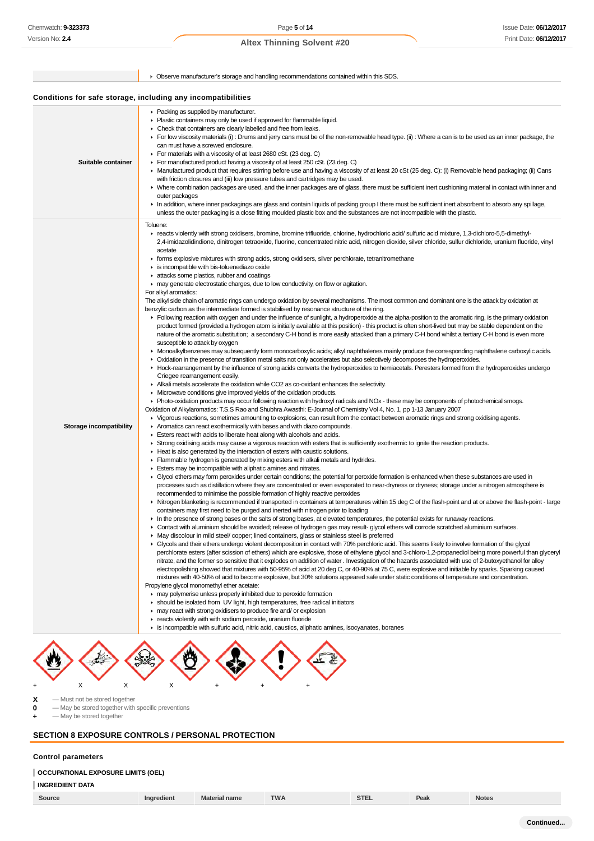|                         | • Observe manufacturer's storage and handling recommendations contained within this SDS.                                                                                                                                                                                                                                                                                                                                                                                                                                                                                                                                                                                                                                                                                                                                                                                                                                                                                                                                                                                                                                                                                                                                                                                                                                                                                                                                                                                                                                                                                                                                                                                                                                                                                                                                                                                                                                                                                                                                                                                                                                                                                                                                                                                                                                                                                                                                                                                                                                                                                                                                                                                                                                                                                                                                                                                                                                                                                                                                                                                                                                                                                                                                                                                                                                                                                                                                                                                                                                                                                                                                                                                                                                                                                                                                                                                                                                                                                                                                                                                                                                                                                                                                                                                                                                                                                                                                                                                                                                                                                                                                                                                                                                                                                                                                                                                                                                                                                                                                                                                                                                                                                                                                                                                                                                                                          |
|-------------------------|-------------------------------------------------------------------------------------------------------------------------------------------------------------------------------------------------------------------------------------------------------------------------------------------------------------------------------------------------------------------------------------------------------------------------------------------------------------------------------------------------------------------------------------------------------------------------------------------------------------------------------------------------------------------------------------------------------------------------------------------------------------------------------------------------------------------------------------------------------------------------------------------------------------------------------------------------------------------------------------------------------------------------------------------------------------------------------------------------------------------------------------------------------------------------------------------------------------------------------------------------------------------------------------------------------------------------------------------------------------------------------------------------------------------------------------------------------------------------------------------------------------------------------------------------------------------------------------------------------------------------------------------------------------------------------------------------------------------------------------------------------------------------------------------------------------------------------------------------------------------------------------------------------------------------------------------------------------------------------------------------------------------------------------------------------------------------------------------------------------------------------------------------------------------------------------------------------------------------------------------------------------------------------------------------------------------------------------------------------------------------------------------------------------------------------------------------------------------------------------------------------------------------------------------------------------------------------------------------------------------------------------------------------------------------------------------------------------------------------------------------------------------------------------------------------------------------------------------------------------------------------------------------------------------------------------------------------------------------------------------------------------------------------------------------------------------------------------------------------------------------------------------------------------------------------------------------------------------------------------------------------------------------------------------------------------------------------------------------------------------------------------------------------------------------------------------------------------------------------------------------------------------------------------------------------------------------------------------------------------------------------------------------------------------------------------------------------------------------------------------------------------------------------------------------------------------------------------------------------------------------------------------------------------------------------------------------------------------------------------------------------------------------------------------------------------------------------------------------------------------------------------------------------------------------------------------------------------------------------------------------------------------------------------------------------------------------------------------------------------------------------------------------------------------------------------------------------------------------------------------------------------------------------------------------------------------------------------------------------------------------------------------------------------------------------------------------------------------------------------------------------------------------------------------------------------------------------------------------------------------------------------------------------------------------------------------------------------------------------------------------------------------------------------------------------------------------------------------------------------------------------------------------------------------------------------------------------------------------------------------------------------------------------------------------------------------------------------------------------------------|
|                         | Conditions for safe storage, including any incompatibilities                                                                                                                                                                                                                                                                                                                                                                                                                                                                                                                                                                                                                                                                                                                                                                                                                                                                                                                                                                                                                                                                                                                                                                                                                                                                                                                                                                                                                                                                                                                                                                                                                                                                                                                                                                                                                                                                                                                                                                                                                                                                                                                                                                                                                                                                                                                                                                                                                                                                                                                                                                                                                                                                                                                                                                                                                                                                                                                                                                                                                                                                                                                                                                                                                                                                                                                                                                                                                                                                                                                                                                                                                                                                                                                                                                                                                                                                                                                                                                                                                                                                                                                                                                                                                                                                                                                                                                                                                                                                                                                                                                                                                                                                                                                                                                                                                                                                                                                                                                                                                                                                                                                                                                                                                                                                                                      |
| Suitable container      | • Packing as supplied by manufacturer.<br>• Plastic containers may only be used if approved for flammable liquid.<br>• Check that containers are clearly labelled and free from leaks.<br>► For low viscosity materials (i) : Drums and jerry cans must be of the non-removable head type. (ii) : Where a can is to be used as an inner package, the<br>can must have a screwed enclosure.<br>► For materials with a viscosity of at least 2680 cSt. (23 deg. C)<br>For manufactured product having a viscosity of at least 250 cSt. (23 deg. C)<br>► Manufactured product that requires stirring before use and having a viscosity of at least 20 cSt (25 deg. C): (i) Removable head packaging; (ii) Cans<br>with friction closures and (iii) low pressure tubes and cartridges may be used.<br>▶ Where combination packages are used, and the inner packages are of glass, there must be sufficient inert cushioning material in contact with inner and<br>outer packages<br>In addition, where inner packagings are glass and contain liquids of packing group I there must be sufficient inert absorbent to absorb any spillage,<br>unless the outer packaging is a close fitting moulded plastic box and the substances are not incompatible with the plastic.                                                                                                                                                                                                                                                                                                                                                                                                                                                                                                                                                                                                                                                                                                                                                                                                                                                                                                                                                                                                                                                                                                                                                                                                                                                                                                                                                                                                                                                                                                                                                                                                                                                                                                                                                                                                                                                                                                                                                                                                                                                                                                                                                                                                                                                                                                                                                                                                                                                                                                                                                                                                                                                                                                                                                                                                                                                                                                                                                                                                                                                                                                                                                                                                                                                                                                                                                                                                                                                                                                                                                                                                                                                                                                                                                                                                                                                                                                                                                                                                                                                                                              |
| Storage incompatibility | Toluene:<br>F reacts violently with strong oxidisers, bromine, bromine trifluoride, chlorine, hydrochloric acid/ sulfuric acid mixture, 1,3-dichloro-5,5-dimethyl-<br>2,4-imidazolidindione, dinitrogen tetraoxide, fluorine, concentrated nitric acid, nitrogen dioxide, silver chloride, sulfur dichloride, uranium fluoride, vinyl<br>acetate<br>► forms explosive mixtures with strong acids, strong oxidisers, silver perchlorate, tetranitromethane<br>is incompatible with bis-toluenediazo oxide<br>ighthreposition and coatings in attacks some plastics, rubber and coatings<br>• may generate electrostatic charges, due to low conductivity, on flow or agitation.<br>For alkyl aromatics:<br>The alkyl side chain of aromatic rings can undergo oxidation by several mechanisms. The most common and dominant one is the attack by oxidation at<br>benzylic carbon as the intermediate formed is stabilised by resonance structure of the ring.<br>Following reaction with oxygen and under the influence of sunlight, a hydroperoxide at the alpha-position to the aromatic ring, is the primary oxidation<br>product formed (provided a hydrogen atom is initially available at this position) - this product is often short-lived but may be stable dependent on the<br>nature of the aromatic substitution; a secondary C-H bond is more easily attacked than a primary C-H bond whilst a tertiary C-H bond is even more<br>susceptible to attack by oxygen<br>• Monoalkylbenzenes may subsequently form monocarboxylic acids; alkyl naphthalenes mainly produce the corresponding naphthalene carboxylic acids.<br>• Oxidation in the presence of transition metal salts not only accelerates but also selectively decomposes the hydroperoxides.<br>► Hock-rearrangement by the influence of strong acids converts the hydroperoxides to hemiacetals. Peresters formed from the hydroperoxides undergo<br>Criegee rearrangement easily.<br>Alkali metals accelerate the oxidation while CO2 as co-oxidant enhances the selectivity.<br>• Microwave conditions give improved yields of the oxidation products.<br>▶ Photo-oxidation products may occur following reaction with hydroxyl radicals and NOx - these may be components of photochemical smogs.<br>Oxidation of Alkylaromatics: T.S.S Rao and Shubhra Awasthi: E-Journal of Chemistry Vol 4, No. 1, pp 1-13 January 2007<br>► Vigorous reactions, sometimes amounting to explosions, can result from the contact between aromatic rings and strong oxidising agents.<br>Aromatics can react exothermically with bases and with diazo compounds.<br>Esters react with acids to liberate heat along with alcohols and acids.<br>► Strong oxidising acids may cause a vigorous reaction with esters that is sufficiently exothermic to ignite the reaction products.<br>• Heat is also generated by the interaction of esters with caustic solutions.<br>F Flammable hydrogen is generated by mixing esters with alkali metals and hydrides.<br>Esters may be incompatible with aliphatic amines and nitrates.<br>► Glycol ethers may form peroxides under certain conditions; the potential for peroxide formation is enhanced when these substances are used in<br>processes such as distillation where they are concentrated or even evaporated to near-dryness or dryness; storage under a nitrogen atmosphere is<br>recommended to minimise the possible formation of highly reactive peroxides<br>If Nitrogen blanketing is recommended if transported in containers at temperatures within 15 deg C of the flash-point and at or above the flash-point - large<br>containers may first need to be purged and inerted with nitrogen prior to loading<br>In the presence of strong bases or the salts of strong bases, at elevated temperatures, the potential exists for runaway reactions.<br>► Contact with aluminium should be avoided; release of hydrogen gas may result- glycol ethers will corrode scratched aluminium surfaces.<br>▶ May discolour in mild steel/ copper; lined containers, glass or stainless steel is preferred<br>► Glycols and their ethers undergo violent decomposition in contact with 70% perchloric acid. This seems likely to involve formation of the glycol<br>perchlorate esters (after scission of ethers) which are explosive, those of ethylene glycol and 3-chloro-1,2-propanediol being more powerful than glyceryl<br>nitrate, and the former so sensitive that it explodes on addition of water. Investigation of the hazards associated with use of 2-butoxyethanol for alloy<br>electropolishing showed that mixtures with 50-95% of acid at 20 deg C, or 40-90% at 75 C, were explosive and initiable by sparks. Sparking caused<br>mixtures with 40-50% of acid to become explosive, but 30% solutions appeared safe under static conditions of temperature and concentration.<br>Propylene glycol monomethyl ether acetate:<br>► may polymerise unless properly inhibited due to peroxide formation<br>in should be isolated from UV light, high temperatures, free radical initiators<br>may react with strong oxidisers to produce fire and/ or explosion<br>reacts violently with with sodium peroxide, uranium fluoride<br>is incompatible with sulfuric acid, nitric acid, caustics, aliphatic amines, isocyanates, boranes |

 $\left(\frac{1}{2}\right)$ SA V3  $\mathcal{L}_\mathrm{c}$  $\heartsuit$ Ľ + X X X + + +

**X** — Must not be stored together

**0** — May be stored together with specific preventions

**+** — May be stored together

## **SECTION 8 EXPOSURE CONTROLS / PERSONAL PROTECTION**

### **Control parameters**

### **OCCUPATIONAL EXPOSURE LIMITS (OEL)**

| Source | Material name | <b>TIMA</b><br>,,,, | $\sim$<br>51L. | Peak | <b>Notes</b> |
|--------|---------------|---------------------|----------------|------|--------------|
|        |               |                     |                |      |              |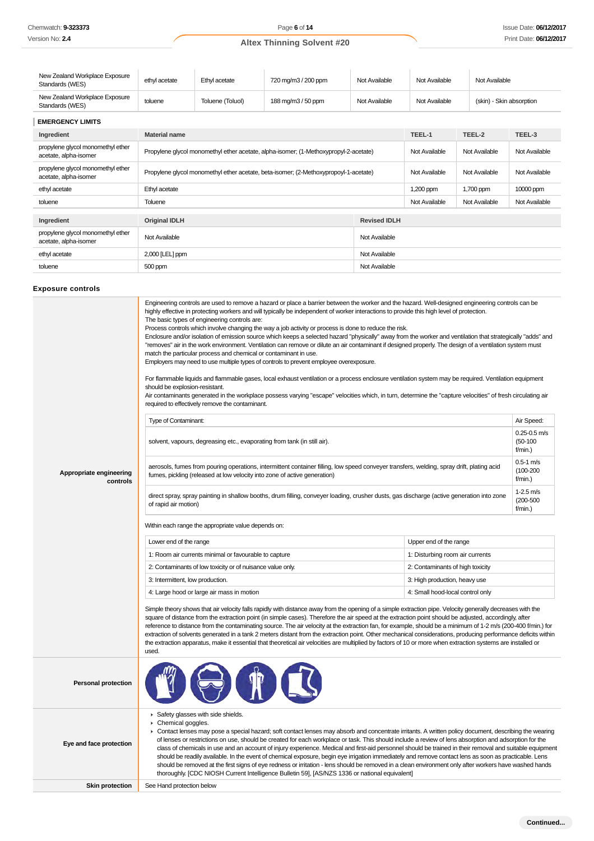| New Zealand Workplace Exposure<br>Standards (WES) | ethyl acetate | Ethyl acetate    | 720 mg/m3 / 200 ppm | Not Available | Not Available | Not Available            |
|---------------------------------------------------|---------------|------------------|---------------------|---------------|---------------|--------------------------|
| New Zealand Workplace Exposure<br>Standards (WES) | toluene       | Toluene (Toluol) | 188 mg/m3 / 50 ppm  | Not Available | Not Available | (skin) - Skin absorption |
| <b>FUERAFUAVIBUTA</b>                             |               |                  |                     |               |               |                          |

| <b>EMERGENCY LIMITS</b>                                    |                                                                                      |               |               |               |  |
|------------------------------------------------------------|--------------------------------------------------------------------------------------|---------------|---------------|---------------|--|
| Ingredient                                                 | <b>Material name</b>                                                                 | TEEL-1        | TEEL-2        | TEEL-3        |  |
| propylene glycol monomethyl ether<br>acetate, alpha-isomer | Propylene glycol monomethyl ether acetate, alpha-isomer; (1-Methoxypropyl-2-acetate) | Not Available | Not Available | Not Available |  |
| propylene glycol monomethyl ether<br>acetate, alpha-isomer | Propylene glycol monomethyl ether acetate, beta-isomer; (2-Methoxypropoyl-1-acetate) | Not Available | Not Available | Not Available |  |
| ethyl acetate                                              | Ethyl acetate                                                                        | 1,200 ppm     | 1,700 ppm     | 10000 ppm     |  |
| toluene                                                    | Toluene                                                                              | Not Available | Not Available | Not Available |  |
|                                                            |                                                                                      |               |               |               |  |
| Ingredient                                                 | <b>Original IDLH</b>                                                                 |               |               |               |  |
| propylene glycol monomethyl ether<br>acetate, alpha-isomer | Not Available                                                                        | Not Available |               |               |  |
| ethyl acetate                                              | 2,000 [LEL] ppm                                                                      |               |               |               |  |
| toluene                                                    | 500 ppm                                                                              |               |               |               |  |

### **Exposure controls**

|                                     | Engineering controls are used to remove a hazard or place a barrier between the worker and the hazard. Well-designed engineering controls can be<br>highly effective in protecting workers and will typically be independent of worker interactions to provide this high level of protection.<br>The basic types of engineering controls are:<br>Process controls which involve changing the way a job activity or process is done to reduce the risk.<br>Enclosure and/or isolation of emission source which keeps a selected hazard "physically" away from the worker and ventilation that strategically "adds" and<br>"removes" air in the work environment. Ventilation can remove or dilute an air contaminant if designed properly. The design of a ventilation system must<br>match the particular process and chemical or contaminant in use.<br>Employers may need to use multiple types of controls to prevent employee overexposure.<br>For flammable liquids and flammable gases, local exhaust ventilation or a process enclosure ventilation system may be required. Ventilation equipment<br>should be explosion-resistant.<br>Air contaminants generated in the workplace possess varying "escape" velocities which, in turn, determine the "capture velocities" of fresh circulating air<br>required to effectively remove the contaminant.<br>Type of Contaminant:<br>solvent, vapours, degreasing etc., evaporating from tank (in still air). |                                  | Air Speed:<br>$0.25 - 0.5$ m/s<br>$(50-100)$<br>f/min.) |  |  |  |
|-------------------------------------|------------------------------------------------------------------------------------------------------------------------------------------------------------------------------------------------------------------------------------------------------------------------------------------------------------------------------------------------------------------------------------------------------------------------------------------------------------------------------------------------------------------------------------------------------------------------------------------------------------------------------------------------------------------------------------------------------------------------------------------------------------------------------------------------------------------------------------------------------------------------------------------------------------------------------------------------------------------------------------------------------------------------------------------------------------------------------------------------------------------------------------------------------------------------------------------------------------------------------------------------------------------------------------------------------------------------------------------------------------------------------------------------------------------------------------------------------------------|----------------------------------|---------------------------------------------------------|--|--|--|
| Appropriate engineering<br>controls | aerosols, fumes from pouring operations, intermittent container filling, low speed conveyer transfers, welding, spray drift, plating acid<br>fumes, pickling (released at low velocity into zone of active generation)                                                                                                                                                                                                                                                                                                                                                                                                                                                                                                                                                                                                                                                                                                                                                                                                                                                                                                                                                                                                                                                                                                                                                                                                                                           |                                  |                                                         |  |  |  |
|                                     | direct spray, spray painting in shallow booths, drum filling, conveyer loading, crusher dusts, gas discharge (active generation into zone<br>of rapid air motion)                                                                                                                                                                                                                                                                                                                                                                                                                                                                                                                                                                                                                                                                                                                                                                                                                                                                                                                                                                                                                                                                                                                                                                                                                                                                                                |                                  | 1-2.5 m/s<br>$(200 - 500)$<br>f/min.)                   |  |  |  |
|                                     | Within each range the appropriate value depends on:                                                                                                                                                                                                                                                                                                                                                                                                                                                                                                                                                                                                                                                                                                                                                                                                                                                                                                                                                                                                                                                                                                                                                                                                                                                                                                                                                                                                              |                                  |                                                         |  |  |  |
|                                     | Lower end of the range                                                                                                                                                                                                                                                                                                                                                                                                                                                                                                                                                                                                                                                                                                                                                                                                                                                                                                                                                                                                                                                                                                                                                                                                                                                                                                                                                                                                                                           | Upper end of the range           |                                                         |  |  |  |
|                                     | 1: Room air currents minimal or favourable to capture                                                                                                                                                                                                                                                                                                                                                                                                                                                                                                                                                                                                                                                                                                                                                                                                                                                                                                                                                                                                                                                                                                                                                                                                                                                                                                                                                                                                            | 1: Disturbing room air currents  |                                                         |  |  |  |
|                                     | 2: Contaminants of low toxicity or of nuisance value only.                                                                                                                                                                                                                                                                                                                                                                                                                                                                                                                                                                                                                                                                                                                                                                                                                                                                                                                                                                                                                                                                                                                                                                                                                                                                                                                                                                                                       | 2: Contaminants of high toxicity |                                                         |  |  |  |
|                                     | 3: Intermittent, low production.                                                                                                                                                                                                                                                                                                                                                                                                                                                                                                                                                                                                                                                                                                                                                                                                                                                                                                                                                                                                                                                                                                                                                                                                                                                                                                                                                                                                                                 | 3: High production, heavy use    |                                                         |  |  |  |
|                                     | 4: Large hood or large air mass in motion                                                                                                                                                                                                                                                                                                                                                                                                                                                                                                                                                                                                                                                                                                                                                                                                                                                                                                                                                                                                                                                                                                                                                                                                                                                                                                                                                                                                                        | 4: Small hood-local control only |                                                         |  |  |  |
|                                     | Simple theory shows that air velocity falls rapidly with distance away from the opening of a simple extraction pipe. Velocity generally decreases with the<br>square of distance from the extraction point (in simple cases). Therefore the air speed at the extraction point should be adjusted, accordingly, after<br>reference to distance from the contaminating source. The air velocity at the extraction fan, for example, should be a minimum of 1-2 m/s (200-400 f/min.) for<br>extraction of solvents generated in a tank 2 meters distant from the extraction point. Other mechanical considerations, producing performance deficits within<br>the extraction apparatus, make it essential that theoretical air velocities are multiplied by factors of 10 or more when extraction systems are installed or<br>used.                                                                                                                                                                                                                                                                                                                                                                                                                                                                                                                                                                                                                                  |                                  |                                                         |  |  |  |
| <b>Personal protection</b>          |                                                                                                                                                                                                                                                                                                                                                                                                                                                                                                                                                                                                                                                                                                                                                                                                                                                                                                                                                                                                                                                                                                                                                                                                                                                                                                                                                                                                                                                                  |                                  |                                                         |  |  |  |
| Eye and face protection             | Safety glasses with side shields.<br>Chemical goggles.<br>▶ Contact lenses may pose a special hazard; soft contact lenses may absorb and concentrate irritants. A written policy document, describing the wearing<br>of lenses or restrictions on use, should be created for each workplace or task. This should include a review of lens absorption and adsorption for the<br>class of chemicals in use and an account of injury experience. Medical and first-aid personnel should be trained in their removal and suitable equipment<br>should be readily available. In the event of chemical exposure, begin eye irrigation immediately and remove contact lens as soon as practicable. Lens<br>should be removed at the first signs of eye redness or irritation - lens should be removed in a clean environment only after workers have washed hands<br>thoroughly. [CDC NIOSH Current Intelligence Bulletin 59], [AS/NZS 1336 or national equivalent]                                                                                                                                                                                                                                                                                                                                                                                                                                                                                                     |                                  |                                                         |  |  |  |
| <b>Skin protection</b>              | See Hand protection below                                                                                                                                                                                                                                                                                                                                                                                                                                                                                                                                                                                                                                                                                                                                                                                                                                                                                                                                                                                                                                                                                                                                                                                                                                                                                                                                                                                                                                        |                                  |                                                         |  |  |  |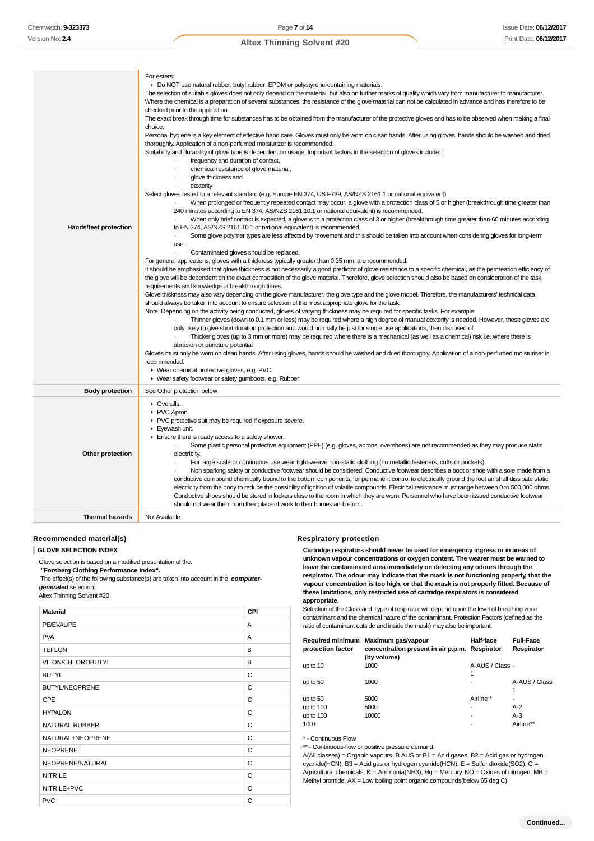| Hands/feet protection  | For esters:<br>► Do NOT use natural rubber, butyl rubber, EPDM or polystyrene-containing materials.<br>The selection of suitable gloves does not only depend on the material, but also on further marks of quality which vary from manufacturer to manufacturer.<br>Where the chemical is a preparation of several substances, the resistance of the glove material can not be calculated in advance and has therefore to be<br>checked prior to the application.<br>The exact break through time for substances has to be obtained from the manufacturer of the protective gloves and has to be observed when making a final<br>choice.<br>Personal hygiene is a key element of effective hand care. Gloves must only be wom on clean hands. After using gloves, hands should be washed and dried<br>thoroughly. Application of a non-perfumed moisturizer is recommended.<br>Suitability and durability of glove type is dependent on usage. Important factors in the selection of gloves include:<br>frequency and duration of contact,<br>chemical resistance of glove material,<br>$\cdot$<br>glove thickness and<br>dexterity<br>Select gloves tested to a relevant standard (e.g. Europe EN 374, US F739, AS/NZS 2161.1 or national equivalent).<br>When prolonged or frequently repeated contact may occur, a glove with a protection class of 5 or higher (breakthrough time greater than<br>240 minutes according to EN 374, AS/NZS 2161.10.1 or national equivalent) is recommended.<br>When only brief contact is expected, a glove with a protection class of 3 or higher (breakthrough time greater than 60 minutes according<br>to EN 374, AS/NZS 2161.10.1 or national equivalent) is recommended.<br>Some glove polymer types are less affected by movement and this should be taken into account when considering gloves for long-term<br>$\cdot$<br>use.<br>$\blacksquare$<br>Contaminated gloves should be replaced.<br>For general applications, gloves with a thickness typically greater than 0.35 mm, are recommended.<br>It should be emphasised that glove thickness is not necessarily a good predictor of glove resistance to a specific chemical, as the permeation efficiency of<br>the glove will be dependent on the exact composition of the glove material. Therefore, glove selection should also be based on consideration of the task<br>requirements and knowledge of breakthrough times.<br>Glove thickness may also vary depending on the glove manufacturer, the glove type and the glove model. Therefore, the manufacturers' technical data<br>should always be taken into account to ensure selection of the most appropriate glove for the task.<br>Note: Depending on the activity being conducted, gloves of varying thickness may be required for specific tasks. For example:<br>Thinner gloves (down to 0.1 mm or less) may be required where a high degree of manual dexterity is needed. However, these gloves are<br>only likely to give short duration protection and would normally be just for single use applications, then disposed of.<br>Thicker gloves (up to 3 mm or more) may be required where there is a mechanical (as well as a chemical) risk i.e. where there is<br>abrasion or puncture potential<br>Gloves must only be worn on clean hands. After using gloves, hands should be washed and dried thoroughly. Application of a non-perfumed moisturiser is<br>recommended.<br>▶ Wear chemical protective gloves, e.g. PVC.<br>▶ Wear safety footwear or safety gumboots, e.g. Rubber |
|------------------------|-------------------------------------------------------------------------------------------------------------------------------------------------------------------------------------------------------------------------------------------------------------------------------------------------------------------------------------------------------------------------------------------------------------------------------------------------------------------------------------------------------------------------------------------------------------------------------------------------------------------------------------------------------------------------------------------------------------------------------------------------------------------------------------------------------------------------------------------------------------------------------------------------------------------------------------------------------------------------------------------------------------------------------------------------------------------------------------------------------------------------------------------------------------------------------------------------------------------------------------------------------------------------------------------------------------------------------------------------------------------------------------------------------------------------------------------------------------------------------------------------------------------------------------------------------------------------------------------------------------------------------------------------------------------------------------------------------------------------------------------------------------------------------------------------------------------------------------------------------------------------------------------------------------------------------------------------------------------------------------------------------------------------------------------------------------------------------------------------------------------------------------------------------------------------------------------------------------------------------------------------------------------------------------------------------------------------------------------------------------------------------------------------------------------------------------------------------------------------------------------------------------------------------------------------------------------------------------------------------------------------------------------------------------------------------------------------------------------------------------------------------------------------------------------------------------------------------------------------------------------------------------------------------------------------------------------------------------------------------------------------------------------------------------------------------------------------------------------------------------------------------------------------------------------------------------------------------------------------------------------------------------------------------------------------------------------------------------------------------------------------------------------------------------------------------------------------------------------------------------------------------------------------------------------------------------|
| <b>Body protection</b> | See Other protection below                                                                                                                                                                                                                                                                                                                                                                                                                                                                                                                                                                                                                                                                                                                                                                                                                                                                                                                                                                                                                                                                                                                                                                                                                                                                                                                                                                                                                                                                                                                                                                                                                                                                                                                                                                                                                                                                                                                                                                                                                                                                                                                                                                                                                                                                                                                                                                                                                                                                                                                                                                                                                                                                                                                                                                                                                                                                                                                                                                                                                                                                                                                                                                                                                                                                                                                                                                                                                                                                                                                                  |
| Other protection       | • Overalls.<br>PVC Apron.<br>▶ PVC protective suit may be required if exposure severe.<br>Eyewash unit.<br>Ensure there is ready access to a safety shower.<br>Some plastic personal protective equipment (PPE) (e.g. gloves, aprons, overshoes) are not recommended as they may produce static<br>electricity.<br>For large scale or continuous use wear tight-weave non-static clothing (no metallic fasteners, cuffs or pockets).<br>Non sparking safety or conductive footwear should be considered. Conductive footwear describes a boot or shoe with a sole made from a<br>conductive compound chemically bound to the bottom components, for permanent control to electrically ground the foot an shall dissipate static<br>electricity from the body to reduce the possibility of ignition of volatile compounds. Electrical resistance must range between 0 to 500,000 ohms.<br>Conductive shoes should be stored in lockers close to the room in which they are worn. Personnel who have been issued conductive footwear<br>should not wear them from their place of work to their homes and return.                                                                                                                                                                                                                                                                                                                                                                                                                                                                                                                                                                                                                                                                                                                                                                                                                                                                                                                                                                                                                                                                                                                                                                                                                                                                                                                                                                                                                                                                                                                                                                                                                                                                                                                                                                                                                                                                                                                                                                                                                                                                                                                                                                                                                                                                                                                                                                                                                                              |
|                        |                                                                                                                                                                                                                                                                                                                                                                                                                                                                                                                                                                                                                                                                                                                                                                                                                                                                                                                                                                                                                                                                                                                                                                                                                                                                                                                                                                                                                                                                                                                                                                                                                                                                                                                                                                                                                                                                                                                                                                                                                                                                                                                                                                                                                                                                                                                                                                                                                                                                                                                                                                                                                                                                                                                                                                                                                                                                                                                                                                                                                                                                                                                                                                                                                                                                                                                                                                                                                                                                                                                                                             |

**Thermal hazards** Not Available

### **Recommended material(s)**

**GLOVE SELECTION INDEX**

Glove selection is based on a modified presentation of the:

 **"Forsberg Clothing Performance Index".**

 The effect(s) of the following substance(s) are taken into account in the **computergenerated** selection:

# Altex Thinning Solvent #20

| <b>Material</b>       | <b>CPI</b> |
|-----------------------|------------|
| PE/EVAL/PE            | A          |
| <b>PVA</b>            | A          |
| <b>TEFLON</b>         | B          |
| VITON/CHLOROBUTYL     | B          |
| <b>BUTYL</b>          | C          |
| <b>BUTYL/NEOPRENE</b> | C          |
| <b>CPE</b>            | C          |
| <b>HYPALON</b>        | C          |
| <b>NATURAL RUBBER</b> | C          |
| NATURAL+NEOPRENE      | C          |
| <b>NEOPRENE</b>       | C          |
| NEOPRENE/NATURAL      | C          |
| <b>NITRILE</b>        | C          |
| NITRILE+PVC           | C          |
| <b>PVC</b>            | C          |

## **Respiratory protection**

**Cartridge respirators should never be used for emergency ingress or in areas of unknown vapour concentrations or oxygen content. The wearer must be warned to leave the contaminated area immediately on detecting any odours through the respirator. The odour may indicate that the mask is not functioning properly, that the vapour concentration is too high, or that the mask is not properly fitted. Because of these limitations, only restricted use of cartridge respirators is considered appropriate.**

Selection of the Class and Type of respirator will depend upon the level of breathing zone contaminant and the chemical nature of the contaminant. Protection Factors (defined as the ratio of contaminant outside and inside the mask) may also be important.

| <b>Required minimum</b><br>protection factor | Maximum gas/vapour<br>concentration present in air p.p.m. Respirator<br>(by volume) | Half-face       | <b>Full-Face</b><br>Respirator |
|----------------------------------------------|-------------------------------------------------------------------------------------|-----------------|--------------------------------|
| up to 10                                     | 1000                                                                                | A-AUS / Class - |                                |
|                                              |                                                                                     | 1               |                                |
| up to $50$                                   | 1000                                                                                | -               | A-AUS / Class                  |
|                                              |                                                                                     |                 | 1                              |
| up to $50$                                   | 5000                                                                                | Airline *       |                                |
| up to $100$                                  | 5000                                                                                |                 | $A-2$                          |
| up to $100$                                  | 10000                                                                               | -               | $A-3$                          |
| $100+$                                       |                                                                                     |                 | Airline**                      |

\* - Continuous Flow

\*\* - Continuous-flow or positive pressure demand.

A(All classes) = Organic vapours, B AUS or B1 = Acid gases, B2 = Acid gas or hydrogen cyanide(HCN), B3 = Acid gas or hydrogen cyanide(HCN), E = Sulfur dioxide(SO2), G = Agricultural chemicals, K = Ammonia(NH3), Hg = Mercury, NO = Oxides of nitrogen, MB = Methyl bromide, AX = Low boiling point organic compounds(below 65 deg C)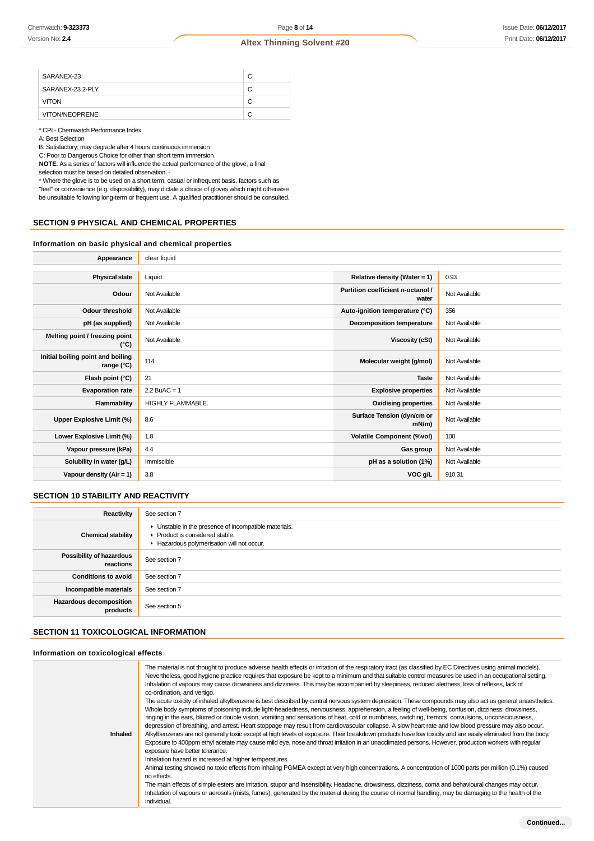| SARANEX-23       | C |
|------------------|---|
| SARANEX-23 2-PLY | С |
| <b>VITON</b>     |   |
| VITON/NEOPRENE   |   |

\* CPI - Chemwatch Performance Index

A: Best Selection

B: Satisfactory; may degrade after 4 hours continuous immersion

C: Poor to Dangerous Choice for other than short term immersion

**NOTE**: As a series of factors will influence the actual performance of the glove, a final selection must be based on detailed observation -

\* Where the glove is to be used on a short term, casual or infrequent basis, factors such as "feel" or convenience (e.g. disposability), may dictate a choice of gloves which might otherwise be unsuitable following long-term or frequent use. A qualified practitioner should be consulted.

### **SECTION 9 PHYSICAL AND CHEMICAL PROPERTIES**

### **Information on basic physical and chemical properties**

| Appearance                                      | clear liquid      |                                            |               |
|-------------------------------------------------|-------------------|--------------------------------------------|---------------|
|                                                 |                   |                                            |               |
| <b>Physical state</b>                           | Liquid            | Relative density (Water = $1$ )            | 0.93          |
| Odour                                           | Not Available     | Partition coefficient n-octanol /<br>water | Not Available |
| <b>Odour threshold</b>                          | Not Available     | Auto-ignition temperature (°C)             | 356           |
| pH (as supplied)                                | Not Available     | <b>Decomposition temperature</b>           | Not Available |
| Melting point / freezing point<br>(°C)          | Not Available     | <b>Viscosity (cSt)</b>                     | Not Available |
| Initial boiling point and boiling<br>range (°C) | 114               | Molecular weight (g/mol)                   | Not Available |
| Flash point (°C)                                | 21                | <b>Taste</b>                               | Not Available |
| <b>Evaporation rate</b>                         | $2.2$ BuAC = 1    | <b>Explosive properties</b>                | Not Available |
| Flammability                                    | HIGHLY FLAMMABLE. | <b>Oxidising properties</b>                | Not Available |
| Upper Explosive Limit (%)                       | 8.6               | Surface Tension (dyn/cm or<br>$mN/m$ )     | Not Available |
| Lower Explosive Limit (%)                       | 1.8               | <b>Volatile Component (%vol)</b>           | 100           |
| Vapour pressure (kPa)                           | 4.4               | Gas group                                  | Not Available |
| Solubility in water (g/L)                       | Immiscible        | pH as a solution (1%)                      | Not Available |
| Vapour density $(Air = 1)$                      | 3.8               | VOC g/L                                    | 910.31        |
|                                                 |                   |                                            |               |

### **SECTION 10 STABILITY AND REACTIVITY**

| Reactivity                                   | See section 7                                                                                                                        |
|----------------------------------------------|--------------------------------------------------------------------------------------------------------------------------------------|
| <b>Chemical stability</b>                    | • Unstable in the presence of incompatible materials.<br>▶ Product is considered stable.<br>Hazardous polymerisation will not occur. |
| <b>Possibility of hazardous</b><br>reactions | See section 7                                                                                                                        |
| <b>Conditions to avoid</b>                   | See section 7                                                                                                                        |
| Incompatible materials                       | See section 7                                                                                                                        |
| <b>Hazardous decomposition</b><br>products   | See section 5                                                                                                                        |

### **SECTION 11 TOXICOLOGICAL INFORMATION**

### **Information on toxicological effects**

| The material is not thought to produce adverse health effects or irritation of the respiratory tract (as classified by EC Directives using animal models).<br>Nevertheless, good hygiene practice requires that exposure be kept to a minimum and that suitable control measures be used in an occupational setting.<br>Inhalation of vapours may cause drowsiness and dizziness. This may be accompanied by sleepiness, reduced alertness, loss of reflexes, lack of<br>co-ordination, and vertigo.<br>The acute toxicity of inhaled alkylbenzene is best described by central nervous system depression. These compounds may also act as general anaesthetics.<br>Whole body symptoms of poisoning include light-headedness, nervousness, apprehension, a feeling of well-being, confusion, dizziness, drowsiness,<br>ringing in the ears, blurred or double vision, vomiting and sensations of heat, cold or numbness, twitching, tremors, convulsions, unconsciousness,<br>depression of breathing, and arrest. Heart stoppage may result from cardiovascular collapse. A slow heart rate and low blood pressure may also occur.<br><b>Inhaled</b><br>Alkylbenzenes are not generally toxic except at high levels of exposure. Their breakdown products have low toxicity and are easily eliminated from the body.<br>Exposure to 400ppm ethyl acetate may cause mild eye, nose and throat irritation in an unacclimated persons. However, production workers with reqular<br>exposure have better tolerance.<br>Inhalation hazard is increased at higher temperatures.<br>Animal testing showed no toxic effects from inhaling PGMEA except at very high concentrations. A concentration of 1000 parts per million (0.1%) caused<br>no effects.<br>The main effects of simple esters are irritation, stupor and insensibility. Headache, drowsiness, dizziness, coma and behavioural changes may occur.<br>Inhalation of vapours or aerosols (mists, fumes), generated by the material during the course of normal handling, may be damaging to the health of the<br>individual. |  |
|---------------------------------------------------------------------------------------------------------------------------------------------------------------------------------------------------------------------------------------------------------------------------------------------------------------------------------------------------------------------------------------------------------------------------------------------------------------------------------------------------------------------------------------------------------------------------------------------------------------------------------------------------------------------------------------------------------------------------------------------------------------------------------------------------------------------------------------------------------------------------------------------------------------------------------------------------------------------------------------------------------------------------------------------------------------------------------------------------------------------------------------------------------------------------------------------------------------------------------------------------------------------------------------------------------------------------------------------------------------------------------------------------------------------------------------------------------------------------------------------------------------------------------------------------------------------------------------------------------------------------------------------------------------------------------------------------------------------------------------------------------------------------------------------------------------------------------------------------------------------------------------------------------------------------------------------------------------------------------------------------------------------------------------------------------------------------------------|--|
|                                                                                                                                                                                                                                                                                                                                                                                                                                                                                                                                                                                                                                                                                                                                                                                                                                                                                                                                                                                                                                                                                                                                                                                                                                                                                                                                                                                                                                                                                                                                                                                                                                                                                                                                                                                                                                                                                                                                                                                                                                                                                       |  |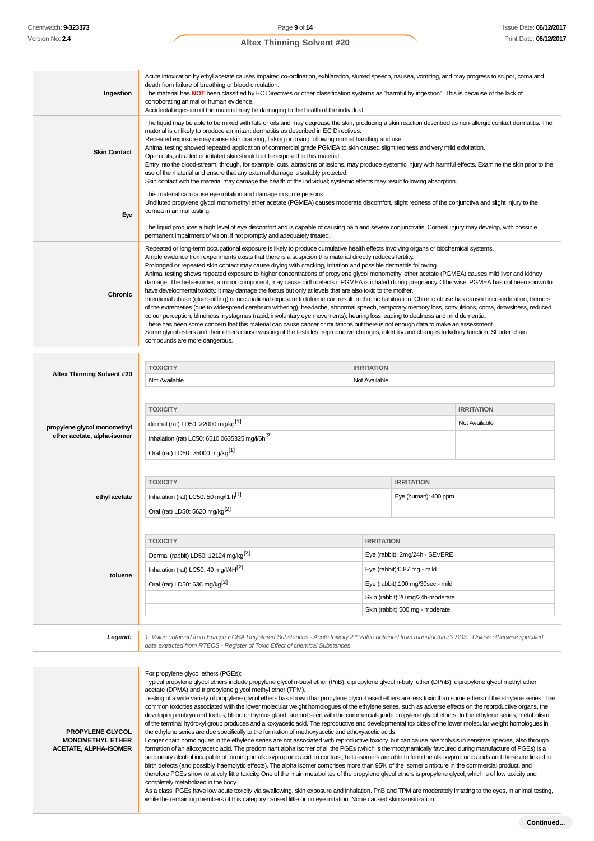**Ingestion** Acute intoxication by ethyl acetate causes impaired co-ordination, exhilaration, slurred speech, nausea, vomiting, and may progress to stupor, coma and death from failure of breathing or blood circulation. The material has **NOT** been classified by EC Directives or other classification systems as "harmful by ingestion". This is because of the lack of corroborating animal or human evidence. Accidental ingestion of the material may be damaging to the health of the individual. **Skin Contact** The liquid may be able to be mixed with fats or oils and may degrease the skin, producing a skin reaction described as non-allergic contact dermatitis. The material is unlikely to produce an irritant dermatitis as described in EC Directives. Repeated exposure may cause skin cracking, flaking or drying following normal handling and use. Animal testing showed repeated application of commercial grade PGMEA to skin caused slight redness and very mild exfoliation. Open cuts, abraded or irritated skin should not be exposed to this material Entry into the blood-stream, through, for example, cuts, abrasions or lesions, may produce systemic injury with harmful effects. Examine the skin prior to the use of the material and ensure that any external damage is suitably protected. Skin contact with the material may damage the health of the individual; systemic effects may result following absorption. **Eye** This material can cause eye irritation and damage in some persons. Undiluted propylene glycol monomethyl ether acetate (PGMEA) causes moderate discomfort, slight redness of the conjunctiva and slight injury to the cornea in animal testing. The liquid produces a high level of eye discomfort and is capable of causing pain and severe conjunctivitis. Corneal injury may develop, with possible permanent impairment of vision, if not promptly and adequately treated. **Chronic** Repeated or long-term occupational exposure is likely to produce cumulative health effects involving organs or biochemical systems. Ample evidence from experiments exists that there is a suspicion this material directly reduces fertility. Prolonged or repeated skin contact may cause drying with cracking, irritation and possible dermatitis following. Animal testing shows repeated exposure to higher concentrations of propylene glycol monomethyl ether acetate (PGMEA) causes mild liver and kidney damage. The beta-isomer, a minor component, may cause birth defects if PGMEA is inhaled during pregnancy. Otherwise, PGMEA has not been shown to have developmental toxicity. It may damage the foetus but only at levels that are also toxic to the mother. Intentional abuse (glue sniffing) or occupational exposure to toluene can result in chronic habituation. Chronic abuse has caused inco-ordination, tremors of the extremeties (due to widespread cerebrum withering), headache, abnormal speech, temporary memory loss, convulsions, coma, drowsiness, reduced colour perception, blindness, nystagmus (rapid, involuntary eye movements), hearing loss leading to deafness and mild dementia. There has been some concern that this material can cause cancer or mutations but there is not enough data to make an assessment. Some glycol esters and their ethers cause wasting of the testicles, reproductive changes, infertility and changes to kidney function. Shorter chain compounds are more dangerous. **Altex Thinning Solvent #20 TOXICITY IRRITATION** Not Available Not Available **propylene glycol monomethyl ether acetate, alpha-isomer TOXICITY IRRITATION** dermal (rat) LD50: >2000 mg/kg<sup>[1]</sup> and the contract of the contract of the contract of the contract of the contract of the contract of the contract of the contract of the contract of the contract of the contract of the co Inhalation (rat) LC50: 6510.0635325 mg/l/6h<sup>[2]</sup> Oral (rat) LD50: >5000 mg/kg[1] **ethyl acetate TOXICITY IRRITATION** Inhalation (rat) LC50: 50 mg/l1  $h^{[1]}$  example the state of the state of the state of the state of the state of the state of the state of the state of the state of the state of the state of the state of the state of the Oral (rat) LD50: 5620 mg/kg[2] **toluene TOXICITY IRRITATION** Dermal (rabbit) LD50: 12124 mg/kg<sup>[2]</sup> exercise the state of the server of the SEVERE Inhalation (rat) LC50: 49 mg/l/4H $^{[2]}$  expansion of the state of the state of the state of the state of the state of the state of the state of the state of the state of the state of the state of the state of the state of Oral (rat) LD50: 636 mg/kg<sup>[2]</sup> exercise the contract of the US exercise of the US exercise of the US exercise of the US exercise of the US exercise of the US exercise of the US exercise of the US exercise of the US exerci Skin (rabbit):20 mg/24h-moderate Skin (rabbit):500 mg - moderate **Legend:** 1. Value obtained from Europe ECHA Registered Substances - Acute toxicity 2.\* Value obtained from manufacturer's SDS. Unless otherwise specified data extracted from RTECS - Register of Toxic Effect of chemical Substances **PROPYLENE GLYCOL MONOMETHYL ETHER ACETATE, ALPHA-ISOMER** For propylene glycol ethers (PGEs): Typical propylene glycol ethers include propylene glycol n-butyl ether (PnB); dipropylene glycol n-butyl ether (DPnB); dipropylene glycol methyl ether acetate (DPMA) and tripropylene glycol methyl ether (TPM). Testing of a wide variety of propylene glycol ethers has shown that propylene glycol-based ethers are less toxic than some ethers of the ethylene series. The common toxicities associated with the lower molecular weight homologues of the ethylene series, such as adverse effects on the reproductive organs, the developing embryo and foetus, blood or thymus gland, are not seen with the commercial-grade propylene glycol ethers. In the ethylene series, metabolism of the terminal hydroxyl group produces and alkoxyacetic acid. The reproductive and developmental toxicities of the lower molecular weight homologues in the ethylene series are due specifically to the formation of methoxyacetic and ethoxyacetic acids. Longer chain homologues in the ethylene series are not associated with reproductive toxicity, but can cause haemolysis in sensitive species, also through formation of an alkoxyacetic acid. The predominant alpha isomer of all the PGEs (which is thermodynamically favoured during manufacture of PGEs) is a secondary alcohol incapable of forming an alkoxypropionic acid. In contrast, beta-isomers are able to form the alkoxypropionic acids and these are linked to birth defects (and possibly, haemolytic effects). The alpha isomer comprises more than 95% of the isomeric mixture in the commercial product, and therefore PGEs show relatively little toxicity. One of the main metabolites of the propylene glycol ethers is propylene glycol, which is of low toxicity and completely metabolized in the body. As a class, PGEs have low acute toxicity via swallowing, skin exposure and inhalation. PnB and TPM are moderately irritating to the eyes, in animal testing, while the remaining members of this category caused little or no eye irritation. None caused skin sensitization.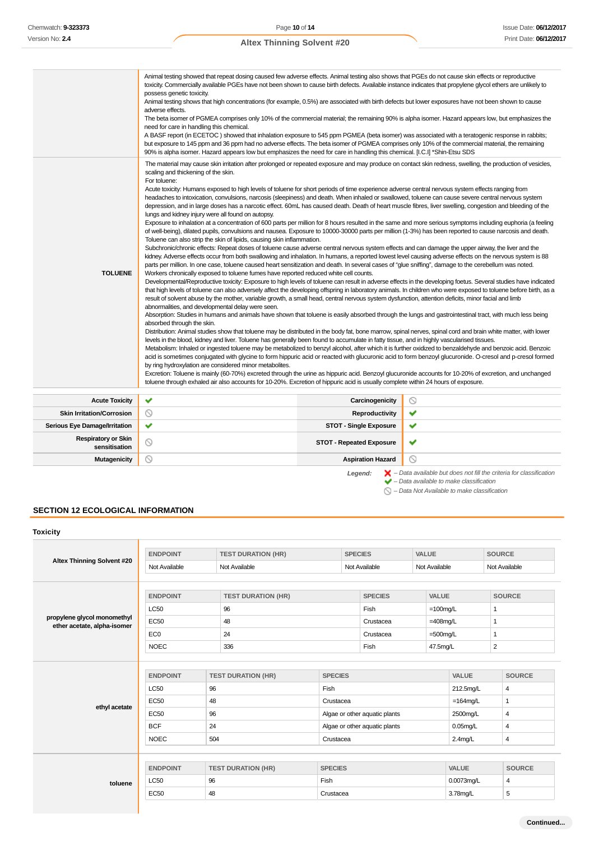|                                             | Animal testing showed that repeat dosing caused few adverse effects. Animal testing also shows that PGEs do not cause skin effects or reproductive<br>toxicity. Commercially available PGEs have not been shown to cause birth defects. Available instance indicates that propylene glycol ethers are unlikely to<br>possess genetic toxicity.<br>Animal testing shows that high concentrations (for example, 0.5%) are associated with birth defects but lower exposures have not been shown to cause<br>adverse effects.<br>The beta isomer of PGMEA comprises only 10% of the commercial material; the remaining 90% is alpha isomer. Hazard appears low, but emphasizes the<br>need for care in handling this chemical.<br>A BASF report (in ECETOC) showed that inhalation exposure to 545 ppm PGMEA (beta isomer) was associated with a teratogenic response in rabbits;<br>but exposure to 145 ppm and 36 ppm had no adverse effects. The beta isomer of PGMEA comprises only 10% of the commercial material, the remaining<br>90% is alpha isomer. Hazard appears low but emphasizes the need for care in handling this chemical. [I.C.I] *Shin-Etsu SDS                                                                                                                                                                                                                                                                                                                                                                                                                                                                                                                                                                                                                                                                                                                                                                                                                                                                                                                                                                                                                                                                                                                                                                                                                                                                                                                                                                                                                                                                                                                                                                                                                                        |                                 |                                                                                                                                                                                                                                                                                                                                                                                                                                                                                                                                                                                                                                                                |
|---------------------------------------------|---------------------------------------------------------------------------------------------------------------------------------------------------------------------------------------------------------------------------------------------------------------------------------------------------------------------------------------------------------------------------------------------------------------------------------------------------------------------------------------------------------------------------------------------------------------------------------------------------------------------------------------------------------------------------------------------------------------------------------------------------------------------------------------------------------------------------------------------------------------------------------------------------------------------------------------------------------------------------------------------------------------------------------------------------------------------------------------------------------------------------------------------------------------------------------------------------------------------------------------------------------------------------------------------------------------------------------------------------------------------------------------------------------------------------------------------------------------------------------------------------------------------------------------------------------------------------------------------------------------------------------------------------------------------------------------------------------------------------------------------------------------------------------------------------------------------------------------------------------------------------------------------------------------------------------------------------------------------------------------------------------------------------------------------------------------------------------------------------------------------------------------------------------------------------------------------------------------------------------------------------------------------------------------------------------------------------------------------------------------------------------------------------------------------------------------------------------------------------------------------------------------------------------------------------------------------------------------------------------------------------------------------------------------------------------------------------------------------------------------------------------------------------------------------------------|---------------------------------|----------------------------------------------------------------------------------------------------------------------------------------------------------------------------------------------------------------------------------------------------------------------------------------------------------------------------------------------------------------------------------------------------------------------------------------------------------------------------------------------------------------------------------------------------------------------------------------------------------------------------------------------------------------|
| <b>TOLUENE</b>                              | The material may cause skin irritation after prolonged or repeated exposure and may produce on contact skin redness, swelling, the production of vesicles,<br>scaling and thickening of the skin.<br>For toluene:<br>Acute toxicity: Humans exposed to high levels of toluene for short periods of time experience adverse central nervous system effects ranging from<br>headaches to intoxication, convulsions, narcosis (sleepiness) and death. When inhaled or swallowed, toluene can cause severe central nervous system<br>depression, and in large doses has a narcotic effect. 60mL has caused death. Death of heart muscle fibres, liver swelling, congestion and bleeding of the<br>lungs and kidney injury were all found on autopsy.<br>of well-being), dilated pupils, convulsions and nausea. Exposure to 10000-30000 parts per million (1-3%) has been reported to cause narcosis and death.<br>Toluene can also strip the skin of lipids, causing skin inflammation.<br>Subchronic/chronic effects: Repeat doses of toluene cause adverse central nervous system effects and can damage the upper airway, the liver and the<br>kidney. Adverse effects occur from both swallowing and inhalation. In humans, a reported lowest level causing adverse effects on the nervous system is 88<br>parts per million. In one case, toluene caused heart sensitization and death. In several cases of "glue sniffing", damage to the cerebellum was noted.<br>Workers chronically exposed to toluene fumes have reported reduced white cell counts.<br>result of solvent abuse by the mother, variable growth, a small head, central nervous system dysfunction, attention deficits, minor facial and limb<br>abnormalities, and developmental delay were seen.<br>Absorption: Studies in humans and animals have shown that toluene is easily absorbed through the lungs and gastrointestinal tract, with much less being<br>absorbed through the skin.<br>Distribution: Animal studies show that toluene may be distributed in the body fat, bone marrow, spinal nerves, spinal cord and brain white matter, with lower<br>levels in the blood, kidney and liver. Toluene has generally been found to accumulate in fatty tissue, and in highly vascularised tissues.<br>Metabolism: Inhaled or ingested toluene may be metabolized to benzyl alcohol, after which it is further oxidized to benzaldehyde and benzoic acid. Benzoic<br>by ring hydroxylation are considered minor metabolites.<br>Excretion: Toluene is mainly (60-70%) excreted through the urine as hippuric acid. Benzoyl glucuronide accounts for 10-20% of excretion, and unchanged<br>toluene through exhaled air also accounts for 10-20%. Excretion of hippuric acid is usually complete within 24 hours of exposure. |                                 | Exposure to inhalation at a concentration of 600 parts per million for 8 hours resulted in the same and more serious symptoms including euphoria (a feeling<br>Developmental/Reproductive toxicity: Exposure to high levels of toluene can result in adverse effects in the developing foetus. Several studies have indicated<br>that high levels of toluene can also adversely affect the developing offspring in laboratory animals. In children who were exposed to toluene before birth, as a<br>acid is sometimes conjugated with glycine to form hippuric acid or reacted with glucuronic acid to form benzoyl glucuronide. O-cresol and p-cresol formed |
| <b>Acute Toxicity</b>                       | ✔                                                                                                                                                                                                                                                                                                                                                                                                                                                                                                                                                                                                                                                                                                                                                                                                                                                                                                                                                                                                                                                                                                                                                                                                                                                                                                                                                                                                                                                                                                                                                                                                                                                                                                                                                                                                                                                                                                                                                                                                                                                                                                                                                                                                                                                                                                                                                                                                                                                                                                                                                                                                                                                                                                                                                                                                       | Carcinogenicity                 | $\circledcirc$                                                                                                                                                                                                                                                                                                                                                                                                                                                                                                                                                                                                                                                 |
| <b>Skin Irritation/Corrosion</b>            | $\circledcirc$                                                                                                                                                                                                                                                                                                                                                                                                                                                                                                                                                                                                                                                                                                                                                                                                                                                                                                                                                                                                                                                                                                                                                                                                                                                                                                                                                                                                                                                                                                                                                                                                                                                                                                                                                                                                                                                                                                                                                                                                                                                                                                                                                                                                                                                                                                                                                                                                                                                                                                                                                                                                                                                                                                                                                                                          | <b>Reproductivity</b>           | ✔                                                                                                                                                                                                                                                                                                                                                                                                                                                                                                                                                                                                                                                              |
| <b>Serious Eye Damage/Irritation</b>        | ✔                                                                                                                                                                                                                                                                                                                                                                                                                                                                                                                                                                                                                                                                                                                                                                                                                                                                                                                                                                                                                                                                                                                                                                                                                                                                                                                                                                                                                                                                                                                                                                                                                                                                                                                                                                                                                                                                                                                                                                                                                                                                                                                                                                                                                                                                                                                                                                                                                                                                                                                                                                                                                                                                                                                                                                                                       | <b>STOT - Single Exposure</b>   | ✔                                                                                                                                                                                                                                                                                                                                                                                                                                                                                                                                                                                                                                                              |
| <b>Respiratory or Skin</b><br>sensitisation | ◎                                                                                                                                                                                                                                                                                                                                                                                                                                                                                                                                                                                                                                                                                                                                                                                                                                                                                                                                                                                                                                                                                                                                                                                                                                                                                                                                                                                                                                                                                                                                                                                                                                                                                                                                                                                                                                                                                                                                                                                                                                                                                                                                                                                                                                                                                                                                                                                                                                                                                                                                                                                                                                                                                                                                                                                                       | <b>STOT - Repeated Exposure</b> | ✔                                                                                                                                                                                                                                                                                                                                                                                                                                                                                                                                                                                                                                                              |
| <b>Mutagenicity</b>                         | $\circledcirc$                                                                                                                                                                                                                                                                                                                                                                                                                                                                                                                                                                                                                                                                                                                                                                                                                                                                                                                                                                                                                                                                                                                                                                                                                                                                                                                                                                                                                                                                                                                                                                                                                                                                                                                                                                                                                                                                                                                                                                                                                                                                                                                                                                                                                                                                                                                                                                                                                                                                                                                                                                                                                                                                                                                                                                                          | <b>Aspiration Hazard</b>        | $\circ$                                                                                                                                                                                                                                                                                                                                                                                                                                                                                                                                                                                                                                                        |
|                                             |                                                                                                                                                                                                                                                                                                                                                                                                                                                                                                                                                                                                                                                                                                                                                                                                                                                                                                                                                                                                                                                                                                                                                                                                                                                                                                                                                                                                                                                                                                                                                                                                                                                                                                                                                                                                                                                                                                                                                                                                                                                                                                                                                                                                                                                                                                                                                                                                                                                                                                                                                                                                                                                                                                                                                                                                         |                                 | $D = 4a$ and $L = 6$ and $L = 6$<br>$-4.431441$<br>world worker from what                                                                                                                                                                                                                                                                                                                                                                                                                                                                                                                                                                                      |

Legend:  $\mathsf{X}$  – Data available but does not fill the criteria for classification<br>  $\mathsf{Y}$  – Data available to make classification

 $\bigcirc$  – Data Not Available to make classification

### **SECTION 12 ECOLOGICAL INFORMATION**

| <b>ENDPOINT</b>                |                                               |          |                                                                                                                                                            |                               | VALUE                                         |                           | <b>SOURCE</b>                                                                                                 |                    |
|--------------------------------|-----------------------------------------------|----------|------------------------------------------------------------------------------------------------------------------------------------------------------------|-------------------------------|-----------------------------------------------|---------------------------|---------------------------------------------------------------------------------------------------------------|--------------------|
| Not Available                  |                                               |          | Not Available                                                                                                                                              |                               |                                               |                           | Not Available                                                                                                 |                    |
| <b>ENDPOINT</b>                |                                               |          |                                                                                                                                                            | <b>SPECIES</b>                |                                               |                           |                                                                                                               | <b>SOURCE</b>      |
| <b>LC50</b>                    |                                               |          |                                                                                                                                                            | Fish                          |                                               |                           | $\mathbf{1}$                                                                                                  |                    |
| <b>EC50</b>                    |                                               |          |                                                                                                                                                            | Crustacea                     |                                               |                           | $\mathbf{1}$                                                                                                  |                    |
| EC <sub>0</sub>                |                                               |          |                                                                                                                                                            | Crustacea                     |                                               |                           | $\mathbf{1}$                                                                                                  |                    |
| <b>NOEC</b>                    |                                               |          |                                                                                                                                                            | Fish                          |                                               | 47.5mg/L                  |                                                                                                               |                    |
| <b>ENDPOINT</b><br><b>LC50</b> | 96                                            |          | Fish                                                                                                                                                       |                               |                                               | <b>VALUE</b><br>212.5mg/L |                                                                                                               | <b>SOURCE</b><br>4 |
| <b>EC50</b>                    | 48                                            |          |                                                                                                                                                            | Crustacea                     |                                               | $=164$ mg/L               |                                                                                                               | $\mathbf{1}$       |
| <b>EC50</b>                    | 96                                            |          |                                                                                                                                                            | Algae or other aquatic plants |                                               | 2500mg/L                  |                                                                                                               | 4                  |
| <b>BCF</b>                     | 24                                            |          |                                                                                                                                                            | Algae or other aquatic plants |                                               | $0.05$ mg/L               |                                                                                                               | 4                  |
| <b>NOEC</b>                    | 504                                           |          |                                                                                                                                                            |                               |                                               | $2.4$ mg/L                |                                                                                                               | 4                  |
|                                |                                               |          |                                                                                                                                                            |                               |                                               |                           |                                                                                                               | <b>SOURCE</b>      |
|                                |                                               |          |                                                                                                                                                            |                               |                                               |                           |                                                                                                               | 4                  |
|                                |                                               |          | Crustacea                                                                                                                                                  |                               |                                               |                           |                                                                                                               | 5                  |
|                                | <b>ENDPOINT</b><br><b>LC50</b><br><b>EC50</b> | 96<br>48 | <b>TEST DURATION (HR)</b><br>Not Available<br><b>TEST DURATION (HR)</b><br>96<br>48<br>24<br>336<br><b>TEST DURATION (HR)</b><br><b>TEST DURATION (HR)</b> | <b>SPECIES</b><br>Fish        | <b>SPECIES</b><br><b>SPECIES</b><br>Crustacea |                           | Not Available<br><b>VALUE</b><br>$=100$ mg/L<br>$=408$ mg/L<br>$=500$ mg/L<br>VALUE<br>0.0073mg/L<br>3.78mg/L | 2                  |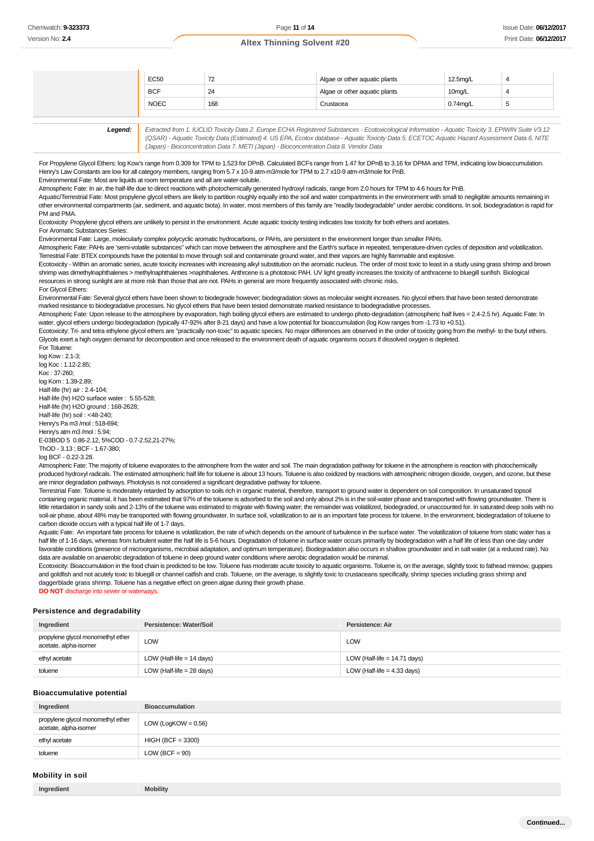| <b>EC50</b> | 72  | Algae or other aquatic plants | 12.5mg/L    |  |
|-------------|-----|-------------------------------|-------------|--|
| <b>BCF</b>  | 24  | Algae or other aquatic plants | 10mg/L      |  |
| <b>NOEC</b> | 168 | Crustacea                     | $0.74$ ma/L |  |
|             |     |                               |             |  |

| Legend: | Extracted from 1. IUCLID Toxicity Data 2. Europe ECHA Registered Substances - Ecotoxicological Information - Aquatic Toxicity 3. EPIWIN Suite V3.12 |
|---------|-----------------------------------------------------------------------------------------------------------------------------------------------------|
|         | (QSAR) - Aquatic Toxicity Data (Estimated) 4. US EPA, Ecotox database - Aquatic Toxicity Data 5. ECETOC Aquatic Hazard Assessment Data 6. NITE      |
|         | (Japan) - Bioconcentration Data 7. METI (Japan) - Bioconcentration Data 8. Vendor Data                                                              |

For Propylene Glycol Ethers: log Kow's range from 0.309 for TPM to 1.523 for DPnB. Calculated BCFs range from 1.47 for DPnB to 3.16 for DPMA and TPM, indicating low bioaccumulation. Henry's Law Constants are low for all category members, ranging from 5.7 x 10-9 atm-m3/mole for TPM to 2.7 x10-9 atm-m3/mole for PnB.

Environmental Fate: Most are liquids at room temperature and all are water-soluble.

Atmospheric Fate: In air, the half-life due to direct reactions with photochemically generated hydroxyl radicals, range from 2.0 hours for TPM to 4.6 hours for PnB.

Aquatic/Terrestrial Fate: Most propylene glycol ethers are likely to partition roughly equally into the soil and water compartments in the environment with small to negligible amounts remaining in other environmental compartments (air, sediment, and aquatic biota). In water, most members of this family are "readily biodegradable" under aerobic conditions. In soil, biodegradation is rapid for PM and PMA

Ecotoxicity: Propylene glycol ethers are unlikely to persist in the environment. Acute aquatic toxicity testing indicates low toxicity for both ethers and acetates For Aromatic Substances Series:

Environmental Fate: Large, molecularly complex polycyclic aromatic hydrocarbons, or PAHs, are persistent in the environment longer than smaller PAHs.

Atmospheric Fate: PAHs are 'semi-volatile substances" which can move between the atmosphere and the Earth's surface in repeated, temperature-driven cycles of deposition and volatilization. Terrestrial Fate: BTEX compounds have the potential to move through soil and contaminate ground water, and their vapors are highly flammable and explosive.

Ecotoxicity - Within an aromatic series, acute toxicity increases with increasing alkyl substitution on the aromatic nucleus. The order of most toxic to least in a study using grass shrimp and brown shrimp was dimethylnaphthalenes > methylnaphthalenes >naphthalenes. Anthrcene is a phototoxic PAH. UV light greatly increases the toxicity of anthracene to bluegill sunfish. Biological resources in strong sunlight are at more risk than those that are not. PAHs in general are more frequently associated with chronic risks.

#### For Glycol Ethers: Environmental Fate: Several glycol ethers have been shown to biodegrade however; biodegradation slows as molecular weight increases. No glycol ethers that have been tested demonstrate

marked resistance to biodegradative processes. No glycol ethers that have been tested demonstrate marked resistance to biodegradative processes

Atmospheric Fate: Upon release to the atmosphere by evaporation, high boiling glycol ethers are estimated to undergo photo-degradation (atmospheric half lives = 2.4-2.5 hr). Aquatic Fate: In water, glycol ethers undergo biodegradation (typically 47-92% after 8-21 days) and have a low potential for bioaccumulation (log Kow ranges from -1.73 to +0.51).

Ecotoxicity: Tri- and tetra ethylene glycol ethers are "practically non-toxic" to aquatic species. No major differences are observed in the order of toxicity going from the methyl- to the butyl ethers. Glycols exert a high oxygen demand for decomposition and once released to the environment death of aquatic organisms occurs if dissolved oxygen is depleted. For Toluene:

log Kow : 2.1-3; log Koc : 1.12-2.85; Koc : 37-260; log Kom : 1.39-2.89; Half-life (hr) air : 2.4-104; Half-life (hr) H2O surface water : 5.55-528; Half-life (hr) H2O ground : 168-2628; Half-life (hr) soil : <48-240; Henry's Pa m3 /mol : 518-694; Henry's atm m3 /mol : 5.94; E-03BOD 5 0.86-2.12, 5%COD - 0.7-2.52,21-27%; ThOD - 3.13 ; BCF - 1.67-380; log BCF - 0.22-3.28. Chemwatch: 9-323373<br>
Version No: 2.4<br>
Version No: 2.4<br>
Version No: 2.4<br>
The Propylene Glyc<br>
Henry's Law Constant Fate:<br>
Advantic/Terrestrial deter environmental Fate:<br>
Advantic/Terrestrial deter environmental Fate:<br>
Ecotox

Atmospheric Fate: The majority of toluene evaporates to the atmosphere from the water and soil. The main degradation pathway for toluene in the atmosphere is reaction with photochemically produced hydroxyl radicals. The estimated atmospheric half life for toluene is about 13 hours. Toluene is also oxidized by reactions with atmospheric nitrogen dioxide, oxygen, and ozone, but these are minor degradation pathways. Photolysis is not considered a significant degradative pathway for toluene.

Terrestrial Fate: Toluene is moderately retarded by adsorption to soils rich in organic material, therefore, transport to ground water is dependent on soil composition. In unsaturated topsoil containing organic material, it has been estimated that 97% of the toluene is adsorbed to the soil and only about 2% is in the soil-water phase and transported with flowing groundwater. There is little retardation in sandy soils and 2-13% of the toluene was estimated to migrate with flowing water; the remainder was volatilized, biodegraded, or unaccounted for. In saturated deep soils with no soil-air phase, about 48% may be transported with flowing groundwater. In surface soil, volatilization to air is an important fate process for toluene. In the environment, biodegradation of toluene to carbon dioxide occurs with a typical half life of 1-7 days.

Aquatic Fate: An important fate process for toluene is volatilization, the rate of which depends on the amount of turbulence in the surface water. The volatilization of toluene from static water has a half life of 1-16 days, whereas from turbulent water the half life is 5-6 hours. Degradation of toluene in surface water occurs primarily by biodegradation with a half life of less than one day under favorable conditions (presence of microorganisms, microbial adaptation, and optimum temperature). Biodegradation also occurs in shallow groundwater and in salt water (at a reduced rate). No data are available on anaerobic degradation of toluene in deep ground water conditions where aerobic degradation would be minimal.

Ecotoxicity: Bioaccumulation in the food chain is predicted to be low. Toluene has moderate acute toxicity to aquatic organisms. Toluene is, on the average, slightly toxic to fathead minnow, guppies and goldfish and not acutely toxic to bluegill or channel catfish and crab. Toluene, on the average, is slightly toxic to crustaceans specifically, shrimp species including grass shrimp and daggerblade grass shrimp. Toluene has a negative effect on green algae during their growth phase.

**DO NOT** discharge into sewer or water

#### **Persistence and degradability**

| Ingredient                                                 | Persistence: Water/Soil     | Persistence: Air               |
|------------------------------------------------------------|-----------------------------|--------------------------------|
| propylene glycol monomethyl ether<br>acetate, alpha-isomer | <b>LOW</b>                  | LOW                            |
| ethyl acetate                                              | LOW (Half-life $= 14$ days) | LOW (Half-life = $14.71$ days) |
| toluene                                                    | LOW (Half-life $= 28$ days) | LOW (Half-life $=$ 4.33 days)  |

#### **Bioaccumulative potential**

| Ingredient                                                 | <b>Bioaccumulation</b> |
|------------------------------------------------------------|------------------------|
| propylene glycol monomethyl ether<br>acetate, alpha-isomer | LOW (LogKOW = $0.56$ ) |
| ethyl acetate                                              | $HIGH (BCF = 3300)$    |
| toluene                                                    | $LOW (BCF = 90)$       |

### **Mobility in soil**

**Ingredient Mobility**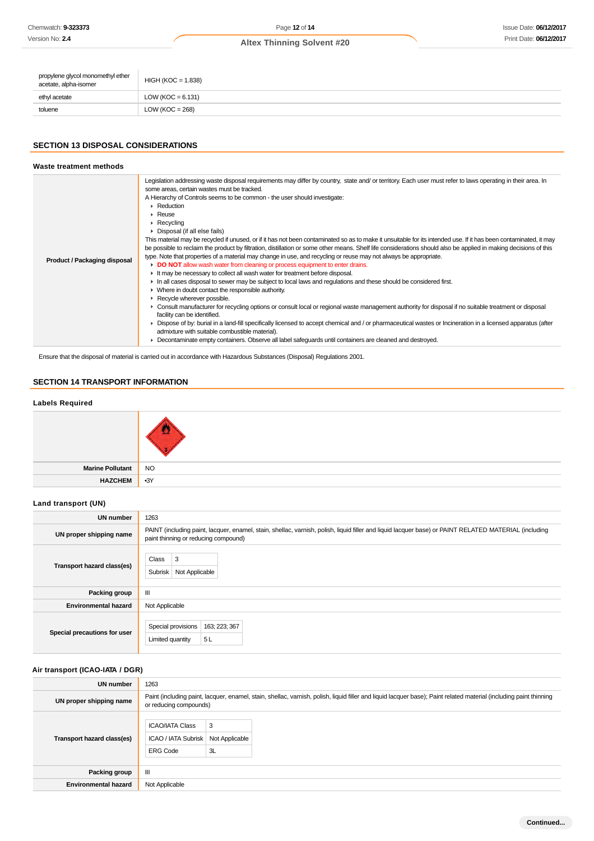| propylene glycol monomethyl ether<br>acetate, alpha-isomer | $HIGH (KOC = 1.838)$  |
|------------------------------------------------------------|-----------------------|
| ethyl acetate                                              | LOW ( $KOC = 6.131$ ) |
| toluene                                                    | LOW ( $KOC = 268$ )   |

# **SECTION 13 DISPOSAL CONSIDERATIONS**

| Waste treatment methods             |                                                                                                                                                                                                                                                                                                                                                                                                                                                                                                                                                                                                                                                                                                                                                                                                                                                                                                                                                                                                                                                                                                                                                                                                                                                                                                                                                                                                                                                                                                                                                                                                                                                                                                                                                                                     |
|-------------------------------------|-------------------------------------------------------------------------------------------------------------------------------------------------------------------------------------------------------------------------------------------------------------------------------------------------------------------------------------------------------------------------------------------------------------------------------------------------------------------------------------------------------------------------------------------------------------------------------------------------------------------------------------------------------------------------------------------------------------------------------------------------------------------------------------------------------------------------------------------------------------------------------------------------------------------------------------------------------------------------------------------------------------------------------------------------------------------------------------------------------------------------------------------------------------------------------------------------------------------------------------------------------------------------------------------------------------------------------------------------------------------------------------------------------------------------------------------------------------------------------------------------------------------------------------------------------------------------------------------------------------------------------------------------------------------------------------------------------------------------------------------------------------------------------------|
| <b>Product / Packaging disposal</b> | Legislation addressing waste disposal requirements may differ by country, state and/ or territory. Each user must refer to laws operating in their area. In<br>some areas, certain wastes must be tracked.<br>A Hierarchy of Controls seems to be common - the user should investigate:<br>$\blacktriangleright$ Reduction<br>$\triangleright$ Reuse<br>$\triangleright$ Recycling<br>Disposal (if all else fails)<br>This material may be recycled if unused, or if it has not been contaminated so as to make it unsuitable for its intended use. If it has been contaminated, it may<br>be possible to reclaim the product by filtration, distillation or some other means. Shelf life considerations should also be applied in making decisions of this<br>type. Note that properties of a material may change in use, and recycling or reuse may not always be appropriate.<br>• DO NOT allow wash water from cleaning or process equipment to enter drains.<br>It may be necessary to collect all wash water for treatment before disposal.<br>In all cases disposal to sewer may be subject to local laws and regulations and these should be considered first.<br>• Where in doubt contact the responsible authority.<br>Recycle wherever possible.<br>► Consult manufacturer for recycling options or consult local or regional waste management authority for disposal if no suitable treatment or disposal<br>facility can be identified.<br>• Dispose of by: burial in a land-fill specifically licensed to accept chemical and / or pharmaceutical wastes or Incineration in a licensed apparatus (after<br>admixture with suitable combustible material).<br>Decontaminate empty containers. Observe all label safeguards until containers are cleaned and destroyed. |

Ensure that the disposal of material is carried out in accordance with Hazardous Substances (Disposal) Regulations 2001.

# **SECTION 14 TRANSPORT INFORMATION**

### **Labels Required**



# **Land transport (UN)**

| UN number                    | 1263                                                                                                                                                                                          |  |  |
|------------------------------|-----------------------------------------------------------------------------------------------------------------------------------------------------------------------------------------------|--|--|
| UN proper shipping name      | PAINT (including paint, lacquer, enamel, stain, shellac, varnish, polish, liquid filler and liquid lacquer base) or PAINT RELATED MATERIAL (including<br>paint thinning or reducing compound) |  |  |
| Transport hazard class(es)   | 3<br>Class<br><b>Subrisk</b><br>Not Applicable                                                                                                                                                |  |  |
| Packing group                | Ш                                                                                                                                                                                             |  |  |
| <b>Environmental hazard</b>  | Not Applicable                                                                                                                                                                                |  |  |
| Special precautions for user | Special provisions<br>163; 223; 367<br>5L<br>Limited quantity                                                                                                                                 |  |  |

### **Air transport (ICAO-IATA / DGR)**

| UN number                   | 1263                                                                                                                                                                                         |                           |  |
|-----------------------------|----------------------------------------------------------------------------------------------------------------------------------------------------------------------------------------------|---------------------------|--|
| UN proper shipping name     | Paint (including paint, lacquer, enamel, stain, shellac, varnish, polish, liquid filler and liquid lacquer base); Paint related material (including paint thinning<br>or reducing compounds) |                           |  |
| Transport hazard class(es)  | <b>ICAO/IATA Class</b><br><b>ICAO / IATA Subrisk</b><br><b>ERG Code</b>                                                                                                                      | 3<br>Not Applicable<br>3L |  |
| Packing group               | $\mathbf{m}$                                                                                                                                                                                 |                           |  |
| <b>Environmental hazard</b> | Not Applicable                                                                                                                                                                               |                           |  |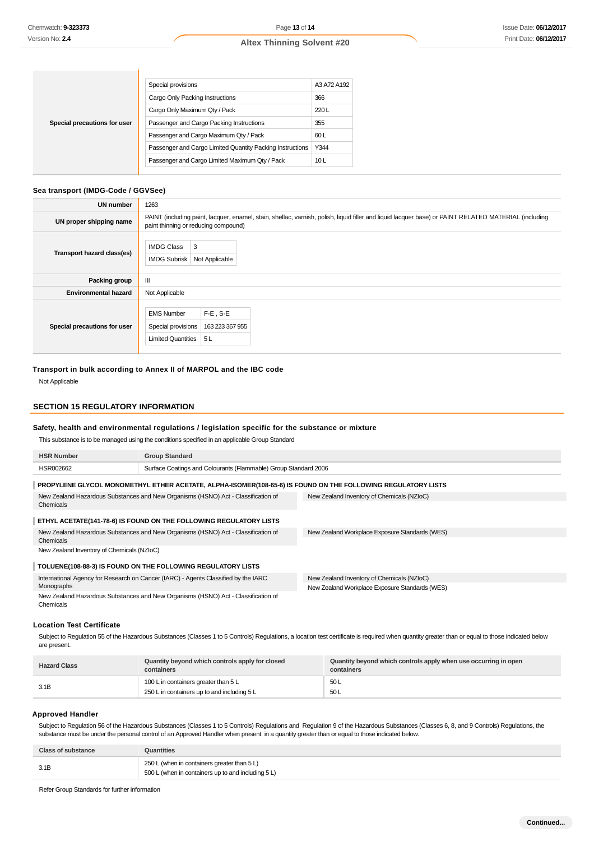|                              | Special provisions                                        | A3 A72 A192     |
|------------------------------|-----------------------------------------------------------|-----------------|
|                              | Cargo Only Packing Instructions                           | 366             |
| Special precautions for user | Cargo Only Maximum Qty / Pack                             | 220L            |
|                              | Passenger and Cargo Packing Instructions                  | 355             |
|                              | Passenger and Cargo Maximum Qty / Pack                    | 60 L            |
|                              | Passenger and Cargo Limited Quantity Packing Instructions | Y344            |
|                              | Passenger and Cargo Limited Maximum Qty / Pack            | 10 <sub>L</sub> |

### **Sea transport (IMDG-Code / GGVSee)**

| <b>UN number</b>             | 1263                                                                                                                                                                                          |  |  |
|------------------------------|-----------------------------------------------------------------------------------------------------------------------------------------------------------------------------------------------|--|--|
| UN proper shipping name      | PAINT (including paint, lacquer, enamel, stain, shellac, varnish, polish, liquid filler and liquid lacquer base) or PAINT RELATED MATERIAL (including<br>paint thinning or reducing compound) |  |  |
| Transport hazard class(es)   | <b>IMDG Class</b><br>3<br><b>IMDG Subrisk</b><br>Not Applicable                                                                                                                               |  |  |
| Packing group                | Ш                                                                                                                                                                                             |  |  |
| <b>Environmental hazard</b>  | Not Applicable                                                                                                                                                                                |  |  |
| Special precautions for user | $F-E$ , S-E<br><b>EMS Number</b><br>Special provisions<br>163 223 367 955<br>Limited Quantities<br>5 L                                                                                        |  |  |

### **Transport in bulk according to Annex II of MARPOL and the IBC code**

Not Applicable

### **SECTION 15 REGULATORY INFORMATION**

### **Safety, health and environmental regulations / legislation specific for the substance or mixture**

This substance is to be managed using the conditions specified in an applicable Group Standard

| <b>HSR Number</b>                                                                 | <b>Group Standard</b>                                                                                        |                                                |
|-----------------------------------------------------------------------------------|--------------------------------------------------------------------------------------------------------------|------------------------------------------------|
| HSR002662                                                                         | Surface Coatings and Colourants (Flammable) Group Standard 2006                                              |                                                |
|                                                                                   | PROPYLENE GLYCOL MONOMETHYL ETHER ACETATE, ALPHA-ISOMER(108-65-6) IS FOUND ON THE FOLLOWING REGULATORY LISTS |                                                |
|                                                                                   | New Zealand Hazardous Substances and New Organisms (HSNO) Act - Classification of                            | New Zealand Inventory of Chemicals (NZIoC)     |
| Chemicals                                                                         |                                                                                                              |                                                |
|                                                                                   | ETHYL ACETATE(141-78-6) IS FOUND ON THE FOLLOWING REGULATORY LISTS                                           |                                                |
| New Zealand Hazardous Substances and New Organisms (HSNO) Act - Classification of |                                                                                                              | New Zealand Workplace Exposure Standards (WES) |
| Chemicals                                                                         |                                                                                                              |                                                |
| New Zealand Inventory of Chemicals (NZIoC)                                        |                                                                                                              |                                                |
|                                                                                   | TOLUENE(108-88-3) IS FOUND ON THE FOLLOWING REGULATORY LISTS                                                 |                                                |
|                                                                                   | International Agency for Research on Cancer (IARC) - Agents Classified by the IARC                           | New Zealand Inventory of Chemicals (NZIoC)     |
| Monographs                                                                        |                                                                                                              | New Zealand Workplace Exposure Standards (WES) |
| Chemicals                                                                         | New Zealand Hazardous Substances and New Organisms (HSNO) Act - Classification of                            |                                                |
| Lessies Test Cartificate                                                          |                                                                                                              |                                                |

#### **Location Test Certificate**

Subject to Regulation 55 of the Hazardous Substances (Classes 1 to 5 Controls) Regulations, a location test certificate is required when quantity greater than or equal to those indicated below are present.

| <b>Hazard Class</b> | Quantity beyond which controls apply for closed<br>containers | Quantity beyond which controls apply when use occurring in open<br>containers |
|---------------------|---------------------------------------------------------------|-------------------------------------------------------------------------------|
| 3.1B                | 100 L in containers greater than 5 L                          | 50 L                                                                          |
|                     | 250 L in containers up to and including 5 L                   | 50L                                                                           |

### **Approved Handler**

Subject to Regulation 56 of the Hazardous Substances (Classes 1 to 5 Controls) Regulations and Regulation 9 of the Hazardous Substances (Classes 6, 8, and 9 Controls) Regulations, the substance must be under the personal control of an Approved Handler when present in a quantity greater than or equal to those indicated below.

| <b>Class of substance</b> | Quantities                                                                                        |
|---------------------------|---------------------------------------------------------------------------------------------------|
| 3.1B                      | 250 L (when in containers greater than 5 L)<br>500 L (when in containers up to and including 5 L) |

Refer Group Standards for further information